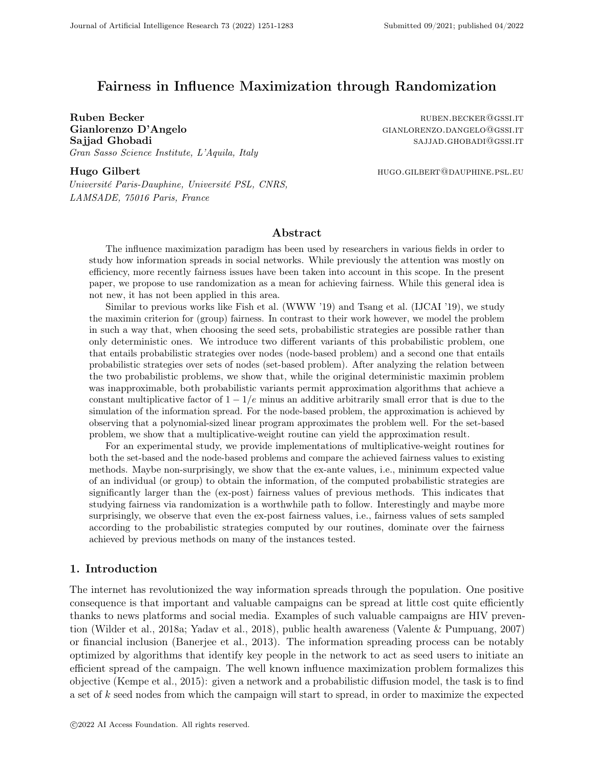# Fairness in Influence Maximization through Randomization

Ruben Becker ruben. Becker ruben. Becker ruben. Becker ruben. Becker ruben. Becker ruben. Becker ruben. Becker Gianlorenzo D'Angelo GIANLORENZO.DANGELO@GSSI.IT Sajjad Ghobadi sajjad sajjad Ghobadi sajjad sajjad sajjad sajjad sajjad sajjad sajjad sajjad sajjad sajjad sa Gran Sasso Science Institute, L'Aquila, Italy

Hugo Gilbert **hugo.gilbert** hugo.gilbert hugo.gilbert hugo.gilbert hugo.gilbert hugo.gilbert hugo.gilbert hugo.gilbert hugo.gilbert hugo.gilbert hugo.gilbert hugo.gilbert hugo.gilbert hugo.gilbert hugo.gilbert hugo.gilbert

Université Paris-Dauphine, Université PSL, CNRS, LAMSADE, 75016 Paris, France

# Abstract

The influence maximization paradigm has been used by researchers in various fields in order to study how information spreads in social networks. While previously the attention was mostly on efficiency, more recently fairness issues have been taken into account in this scope. In the present paper, we propose to use randomization as a mean for achieving fairness. While this general idea is not new, it has not been applied in this area.

Similar to previous works like Fish et al. (WWW '19) and Tsang et al. (IJCAI '19), we study the maximin criterion for (group) fairness. In contrast to their work however, we model the problem in such a way that, when choosing the seed sets, probabilistic strategies are possible rather than only deterministic ones. We introduce two different variants of this probabilistic problem, one that entails probabilistic strategies over nodes (node-based problem) and a second one that entails probabilistic strategies over sets of nodes (set-based problem). After analyzing the relation between the two probabilistic problems, we show that, while the original deterministic maximin problem was inapproximable, both probabilistic variants permit approximation algorithms that achieve a constant multiplicative factor of  $1 - 1/e$  minus an additive arbitrarily small error that is due to the simulation of the information spread. For the node-based problem, the approximation is achieved by observing that a polynomial-sized linear program approximates the problem well. For the set-based problem, we show that a multiplicative-weight routine can yield the approximation result.

For an experimental study, we provide implementations of multiplicative-weight routines for both the set-based and the node-based problems and compare the achieved fairness values to existing methods. Maybe non-surprisingly, we show that the ex-ante values, i.e., minimum expected value of an individual (or group) to obtain the information, of the computed probabilistic strategies are significantly larger than the (ex-post) fairness values of previous methods. This indicates that studying fairness via randomization is a worthwhile path to follow. Interestingly and maybe more surprisingly, we observe that even the ex-post fairness values, i.e., fairness values of sets sampled according to the probabilistic strategies computed by our routines, dominate over the fairness achieved by previous methods on many of the instances tested.

## 1. Introduction

The internet has revolutionized the way information spreads through the population. One positive consequence is that important and valuable campaigns can be spread at little cost quite efficiently thanks to news platforms and social media. Examples of such valuable campaigns are HIV prevention (Wilder et al., 2018a; Yadav et al., 2018), public health awareness (Valente & Pumpuang, 2007) or financial inclusion (Banerjee et al., 2013). The information spreading process can be notably optimized by algorithms that identify key people in the network to act as seed users to initiate an efficient spread of the campaign. The well known influence maximization problem formalizes this objective (Kempe et al., 2015): given a network and a probabilistic diffusion model, the task is to find a set of k seed nodes from which the campaign will start to spread, in order to maximize the expected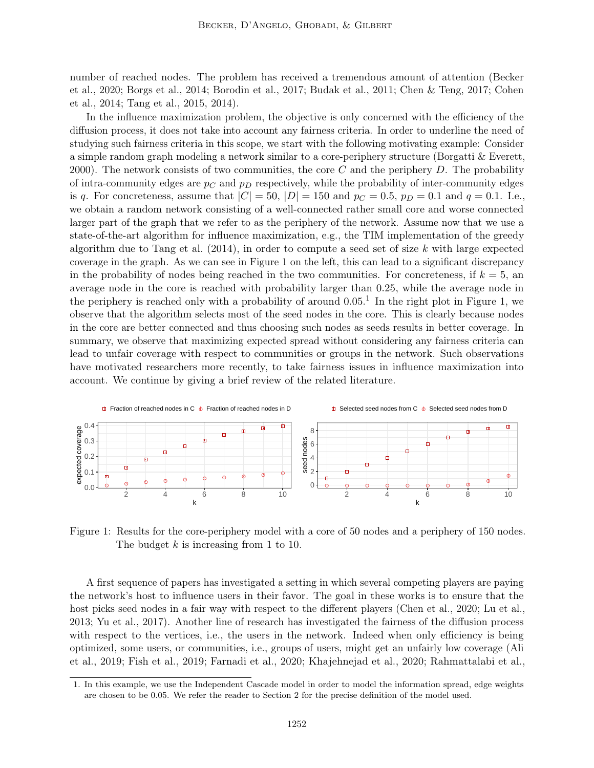number of reached nodes. The problem has received a tremendous amount of attention (Becker et al., 2020; Borgs et al., 2014; Borodin et al., 2017; Budak et al., 2011; Chen & Teng, 2017; Cohen et al., 2014; Tang et al., 2015, 2014).

In the influence maximization problem, the objective is only concerned with the efficiency of the diffusion process, it does not take into account any fairness criteria. In order to underline the need of studying such fairness criteria in this scope, we start with the following motivating example: Consider a simple random graph modeling a network similar to a core-periphery structure (Borgatti & Everett, 2000). The network consists of two communities, the core  $C$  and the periphery  $D$ . The probability of intra-community edges are  $p<sub>C</sub>$  and  $p<sub>D</sub>$  respectively, while the probability of inter-community edges is q. For concreteness, assume that  $|C| = 50$ ,  $|D| = 150$  and  $p_C = 0.5$ ,  $p_D = 0.1$  and  $q = 0.1$ . I.e., we obtain a random network consisting of a well-connected rather small core and worse connected larger part of the graph that we refer to as the periphery of the network. Assume now that we use a state-of-the-art algorithm for influence maximization, e.g., the TIM implementation of the greedy algorithm due to Tang et al.  $(2014)$ , in order to compute a seed set of size k with large expected coverage in the graph. As we can see in Figure 1 on the left, this can lead to a significant discrepancy in the probability of nodes being reached in the two communities. For concreteness, if  $k = 5$ , an average node in the core is reached with probability larger than 0.25, while the average node in the periphery is reached only with a probability of around  $0.05<sup>1</sup>$  In the right plot in Figure 1, we observe that the algorithm selects most of the seed nodes in the core. This is clearly because nodes in the core are better connected and thus choosing such nodes as seeds results in better coverage. In summary, we observe that maximizing expected spread without considering any fairness criteria can lead to unfair coverage with respect to communities or groups in the network. Such observations have motivated researchers more recently, to take fairness issues in influence maximization into account. We continue by giving a brief review of the related literature.



Figure 1: Results for the core-periphery model with a core of 50 nodes and a periphery of 150 nodes. The budget  $k$  is increasing from 1 to 10.

A first sequence of papers has investigated a setting in which several competing players are paying the network's host to influence users in their favor. The goal in these works is to ensure that the host picks seed nodes in a fair way with respect to the different players (Chen et al., 2020; Lu et al., 2013; Yu et al., 2017). Another line of research has investigated the fairness of the diffusion process with respect to the vertices, i.e., the users in the network. Indeed when only efficiency is being optimized, some users, or communities, i.e., groups of users, might get an unfairly low coverage (Ali et al., 2019; Fish et al., 2019; Farnadi et al., 2020; Khajehnejad et al., 2020; Rahmattalabi et al.,

<sup>1.</sup> In this example, we use the Independent Cascade model in order to model the information spread, edge weights are chosen to be 0.05. We refer the reader to Section 2 for the precise definition of the model used.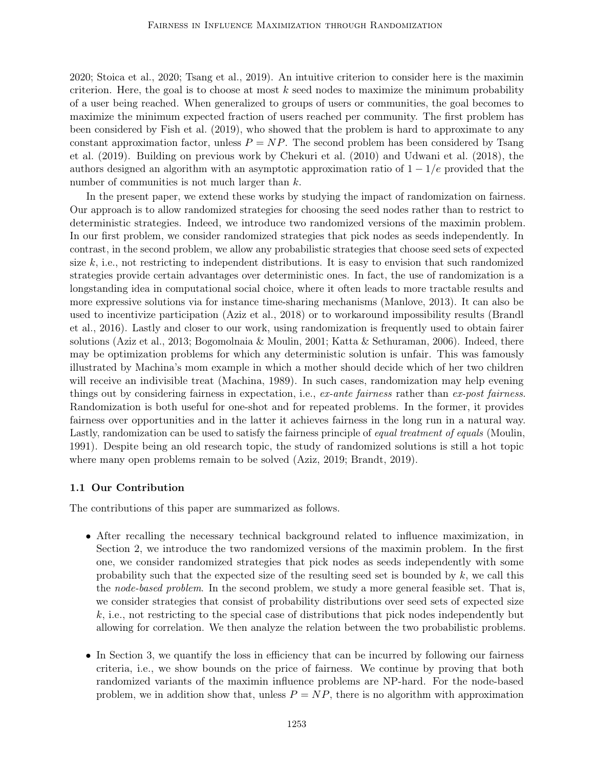2020; Stoica et al., 2020; Tsang et al., 2019). An intuitive criterion to consider here is the maximin criterion. Here, the goal is to choose at most  $k$  seed nodes to maximize the minimum probability of a user being reached. When generalized to groups of users or communities, the goal becomes to maximize the minimum expected fraction of users reached per community. The first problem has been considered by Fish et al. (2019), who showed that the problem is hard to approximate to any constant approximation factor, unless  $P = NP$ . The second problem has been considered by Tsang et al. (2019). Building on previous work by Chekuri et al. (2010) and Udwani et al. (2018), the authors designed an algorithm with an asymptotic approximation ratio of  $1 - 1/e$  provided that the number of communities is not much larger than  $k$ .

In the present paper, we extend these works by studying the impact of randomization on fairness. Our approach is to allow randomized strategies for choosing the seed nodes rather than to restrict to deterministic strategies. Indeed, we introduce two randomized versions of the maximin problem. In our first problem, we consider randomized strategies that pick nodes as seeds independently. In contrast, in the second problem, we allow any probabilistic strategies that choose seed sets of expected size  $k$ , i.e., not restricting to independent distributions. It is easy to envision that such randomized strategies provide certain advantages over deterministic ones. In fact, the use of randomization is a longstanding idea in computational social choice, where it often leads to more tractable results and more expressive solutions via for instance time-sharing mechanisms (Manlove, 2013). It can also be used to incentivize participation (Aziz et al., 2018) or to workaround impossibility results (Brandl et al., 2016). Lastly and closer to our work, using randomization is frequently used to obtain fairer solutions (Aziz et al., 2013; Bogomolnaia & Moulin, 2001; Katta & Sethuraman, 2006). Indeed, there may be optimization problems for which any deterministic solution is unfair. This was famously illustrated by Machina's mom example in which a mother should decide which of her two children will receive an indivisible treat (Machina, 1989). In such cases, randomization may help evening things out by considering fairness in expectation, i.e., ex-ante fairness rather than ex-post fairness. Randomization is both useful for one-shot and for repeated problems. In the former, it provides fairness over opportunities and in the latter it achieves fairness in the long run in a natural way. Lastly, randomization can be used to satisfy the fairness principle of equal treatment of equals (Moulin, 1991). Despite being an old research topic, the study of randomized solutions is still a hot topic where many open problems remain to be solved (Aziz, 2019; Brandt, 2019).

## 1.1 Our Contribution

The contributions of this paper are summarized as follows.

- After recalling the necessary technical background related to influence maximization, in Section 2, we introduce the two randomized versions of the maximin problem. In the first one, we consider randomized strategies that pick nodes as seeds independently with some probability such that the expected size of the resulting seed set is bounded by k, we call this the *node-based problem*. In the second problem, we study a more general feasible set. That is, we consider strategies that consist of probability distributions over seed sets of expected size  $k$ , i.e., not restricting to the special case of distributions that pick nodes independently but allowing for correlation. We then analyze the relation between the two probabilistic problems.
- In Section 3, we quantify the loss in efficiency that can be incurred by following our fairness criteria, i.e., we show bounds on the price of fairness. We continue by proving that both randomized variants of the maximin influence problems are NP-hard. For the node-based problem, we in addition show that, unless  $P = NP$ , there is no algorithm with approximation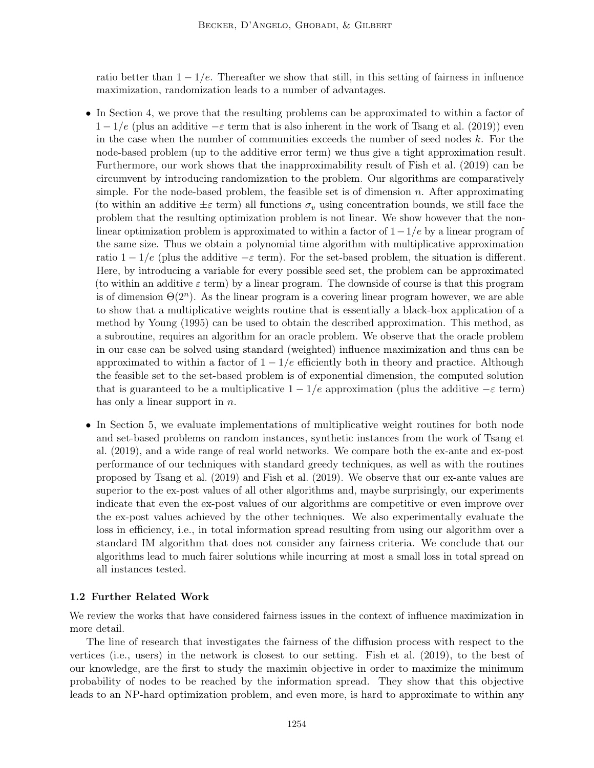ratio better than  $1 - 1/e$ . Thereafter we show that still, in this setting of fairness in influence maximization, randomization leads to a number of advantages.

- In Section 4, we prove that the resulting problems can be approximated to within a factor of  $1 - 1/e$  (plus an additive  $-\varepsilon$  term that is also inherent in the work of Tsang et al. (2019)) even in the case when the number of communities exceeds the number of seed nodes  $k$ . For the node-based problem (up to the additive error term) we thus give a tight approximation result. Furthermore, our work shows that the inapproximability result of Fish et al. (2019) can be circumvent by introducing randomization to the problem. Our algorithms are comparatively simple. For the node-based problem, the feasible set is of dimension  $n$ . After approximating (to within an additive  $\pm \varepsilon$  term) all functions  $\sigma_v$  using concentration bounds, we still face the problem that the resulting optimization problem is not linear. We show however that the nonlinear optimization problem is approximated to within a factor of  $1-1/e$  by a linear program of the same size. Thus we obtain a polynomial time algorithm with multiplicative approximation ratio  $1 - 1/e$  (plus the additive  $-\varepsilon$  term). For the set-based problem, the situation is different. Here, by introducing a variable for every possible seed set, the problem can be approximated (to within an additive  $\varepsilon$  term) by a linear program. The downside of course is that this program is of dimension  $\Theta(2^n)$ . As the linear program is a covering linear program however, we are able to show that a multiplicative weights routine that is essentially a black-box application of a method by Young (1995) can be used to obtain the described approximation. This method, as a subroutine, requires an algorithm for an oracle problem. We observe that the oracle problem in our case can be solved using standard (weighted) influence maximization and thus can be approximated to within a factor of  $1 - 1/e$  efficiently both in theory and practice. Although the feasible set to the set-based problem is of exponential dimension, the computed solution that is guaranteed to be a multiplicative  $1 - 1/e$  approximation (plus the additive  $-\varepsilon$  term) has only a linear support in *n*.
- In Section 5, we evaluate implementations of multiplicative weight routines for both node and set-based problems on random instances, synthetic instances from the work of Tsang et al. (2019), and a wide range of real world networks. We compare both the ex-ante and ex-post performance of our techniques with standard greedy techniques, as well as with the routines proposed by Tsang et al. (2019) and Fish et al. (2019). We observe that our ex-ante values are superior to the ex-post values of all other algorithms and, maybe surprisingly, our experiments indicate that even the ex-post values of our algorithms are competitive or even improve over the ex-post values achieved by the other techniques. We also experimentally evaluate the loss in efficiency, i.e., in total information spread resulting from using our algorithm over a standard IM algorithm that does not consider any fairness criteria. We conclude that our algorithms lead to much fairer solutions while incurring at most a small loss in total spread on all instances tested.

## 1.2 Further Related Work

We review the works that have considered fairness issues in the context of influence maximization in more detail.

The line of research that investigates the fairness of the diffusion process with respect to the vertices (i.e., users) in the network is closest to our setting. Fish et al. (2019), to the best of our knowledge, are the first to study the maximin objective in order to maximize the minimum probability of nodes to be reached by the information spread. They show that this objective leads to an NP-hard optimization problem, and even more, is hard to approximate to within any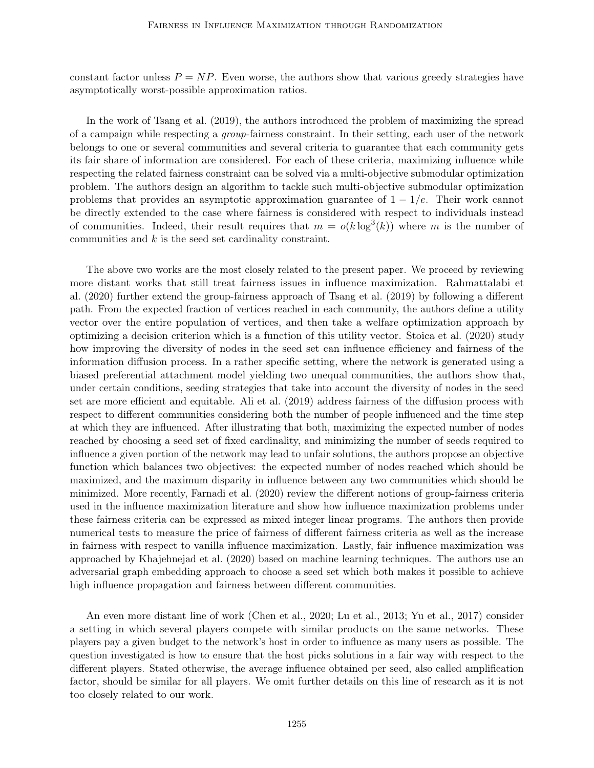constant factor unless  $P = NP$ . Even worse, the authors show that various greedy strategies have asymptotically worst-possible approximation ratios.

In the work of Tsang et al. (2019), the authors introduced the problem of maximizing the spread of a campaign while respecting a group-fairness constraint. In their setting, each user of the network belongs to one or several communities and several criteria to guarantee that each community gets its fair share of information are considered. For each of these criteria, maximizing influence while respecting the related fairness constraint can be solved via a multi-objective submodular optimization problem. The authors design an algorithm to tackle such multi-objective submodular optimization problems that provides an asymptotic approximation guarantee of  $1 - 1/e$ . Their work cannot be directly extended to the case where fairness is considered with respect to individuals instead of communities. Indeed, their result requires that  $m = o(k \log^3(k))$  where m is the number of communities and k is the seed set cardinality constraint.

The above two works are the most closely related to the present paper. We proceed by reviewing more distant works that still treat fairness issues in influence maximization. Rahmattalabi et al. (2020) further extend the group-fairness approach of Tsang et al. (2019) by following a different path. From the expected fraction of vertices reached in each community, the authors define a utility vector over the entire population of vertices, and then take a welfare optimization approach by optimizing a decision criterion which is a function of this utility vector. Stoica et al. (2020) study how improving the diversity of nodes in the seed set can influence efficiency and fairness of the information diffusion process. In a rather specific setting, where the network is generated using a biased preferential attachment model yielding two unequal communities, the authors show that, under certain conditions, seeding strategies that take into account the diversity of nodes in the seed set are more efficient and equitable. Ali et al. (2019) address fairness of the diffusion process with respect to different communities considering both the number of people influenced and the time step at which they are influenced. After illustrating that both, maximizing the expected number of nodes reached by choosing a seed set of fixed cardinality, and minimizing the number of seeds required to influence a given portion of the network may lead to unfair solutions, the authors propose an objective function which balances two objectives: the expected number of nodes reached which should be maximized, and the maximum disparity in influence between any two communities which should be minimized. More recently, Farnadi et al. (2020) review the different notions of group-fairness criteria used in the influence maximization literature and show how influence maximization problems under these fairness criteria can be expressed as mixed integer linear programs. The authors then provide numerical tests to measure the price of fairness of different fairness criteria as well as the increase in fairness with respect to vanilla influence maximization. Lastly, fair influence maximization was approached by Khajehnejad et al. (2020) based on machine learning techniques. The authors use an adversarial graph embedding approach to choose a seed set which both makes it possible to achieve high influence propagation and fairness between different communities.

An even more distant line of work (Chen et al., 2020; Lu et al., 2013; Yu et al., 2017) consider a setting in which several players compete with similar products on the same networks. These players pay a given budget to the network's host in order to influence as many users as possible. The question investigated is how to ensure that the host picks solutions in a fair way with respect to the different players. Stated otherwise, the average influence obtained per seed, also called amplification factor, should be similar for all players. We omit further details on this line of research as it is not too closely related to our work.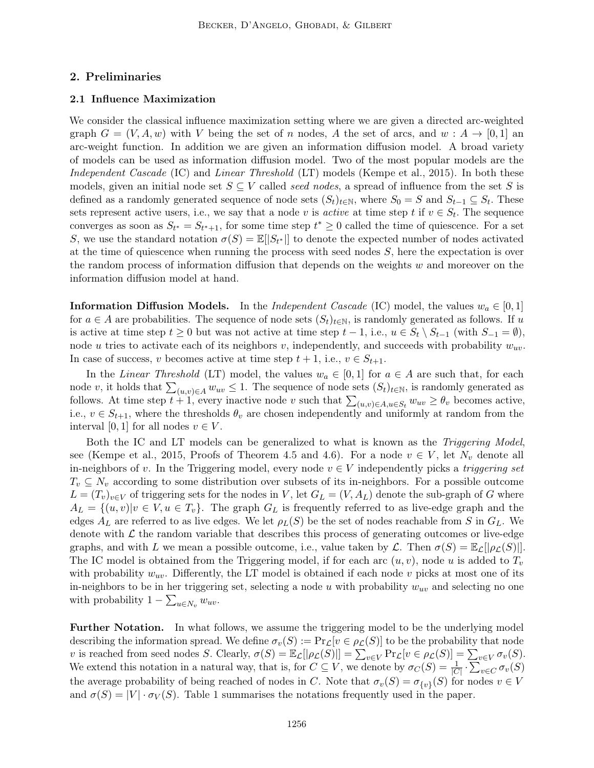## 2. Preliminaries

### 2.1 Influence Maximization

We consider the classical influence maximization setting where we are given a directed arc-weighted graph  $G = (V, A, w)$  with V being the set of n nodes, A the set of arcs, and  $w : A \to [0, 1]$  and arc-weight function. In addition we are given an information diffusion model. A broad variety of models can be used as information diffusion model. Two of the most popular models are the Independent Cascade (IC) and Linear Threshold (LT) models (Kempe et al., 2015). In both these models, given an initial node set  $S \subseteq V$  called seed nodes, a spread of influence from the set S is defined as a randomly generated sequence of node sets  $(S_t)_{t\in\mathbb{N}}$ , where  $S_0 = S$  and  $S_{t-1} \subseteq S_t$ . These sets represent active users, i.e., we say that a node v is *active* at time step t if  $v \in S_t$ . The sequence converges as soon as  $S_{t^*} = S_{t^*+1}$ , for some time step  $t^* \geq 0$  called the time of quiescence. For a set S, we use the standard notation  $\sigma(S) = \mathbb{E}[|S_{t^*}|]$  to denote the expected number of nodes activated at the time of quiescence when running the process with seed nodes  $S$ , here the expectation is over the random process of information diffusion that depends on the weights  $w$  and moreover on the information diffusion model at hand.

**Information Diffusion Models.** In the *Independent Cascade* (IC) model, the values  $w_a \in [0,1]$ for  $a \in A$  are probabilities. The sequence of node sets  $(S_t)_{t \in \mathbb{N}}$ , is randomly generated as follows. If u is active at time step  $t \geq 0$  but was not active at time step  $t - 1$ , i.e.,  $u \in S_t \setminus S_{t-1}$  (with  $S_{-1} = \emptyset$ ), node u tries to activate each of its neighbors v, independently, and succeeds with probability  $w_{uv}$ . In case of success, v becomes active at time step  $t + 1$ , i.e.,  $v \in S_{t+1}$ .

In the Linear Threshold (LT) model, the values  $w_a \in [0,1]$  for  $a \in A$  are such that, for each node v, it holds that  $\sum_{(u,v)\in A} w_{uv} \leq 1$ . The sequence of node sets  $(S_t)_{t\in\mathbb{N}}$ , is randomly generated as follows. At time step  $t + 1$ , every inactive node v such that  $\sum_{(u,v)\in A, u\in S_t} w_{uv} \geq \theta_v$  becomes active, i.e.,  $v \in S_{t+1}$ , where the thresholds  $\theta_v$  are chosen independently and uniformly at random from the interval [0, 1] for all nodes  $v \in V$ .

Both the IC and LT models can be generalized to what is known as the *Triggering Model*, see (Kempe et al., 2015, Proofs of Theorem 4.5 and 4.6). For a node  $v \in V$ , let  $N_v$  denote all in-neighbors of v. In the Triggering model, every node  $v \in V$  independently picks a *triggering set*  $T_v \subseteq N_v$  according to some distribution over subsets of its in-neighbors. For a possible outcome  $L = (T_v)_{v \in V}$  of triggering sets for the nodes in V, let  $G_L = (V, A_L)$  denote the sub-graph of G where  $A_L = \{(u, v)|v \in V, u \in T_v\}.$  The graph  $G_L$  is frequently referred to as live-edge graph and the edges  $A_L$  are referred to as live edges. We let  $\rho_L(S)$  be the set of nodes reachable from S in  $G_L$ . We denote with  $\mathcal L$  the random variable that describes this process of generating outcomes or live-edge graphs, and with L we mean a possible outcome, i.e., value taken by L. Then  $\sigma(S) = \mathbb{E}_{\mathcal{L}}[|\rho_{\mathcal{L}}(S)|].$ The IC model is obtained from the Triggering model, if for each arc  $(u, v)$ , node u is added to  $T_v$ with probability  $w_{uv}$ . Differently, the LT model is obtained if each node v picks at most one of its in-neighbors to be in her triggering set, selecting a node u with probability  $w_{uv}$  and selecting no one with probability  $1 - \sum_{u \in N_v} w_{uv}$ .

Further Notation. In what follows, we assume the triggering model to be the underlying model describing the information spread. We define  $\sigma_v(S) := \Pr_{\mathcal{L}}[v \in \rho_{\mathcal{L}}(S)]$  to be the probability that node v is reached from seed nodes S. Clearly,  $\sigma(S) = \mathbb{E}_{\mathcal{L}}[|\rho_{\mathcal{L}}(S)|] = \sum_{v \in V} Pr_{\mathcal{L}}[v \in \rho_{\mathcal{L}}(S)] = \sum_{v \in V} \sigma_v(S)$ . We extend this notation in a natural way, that is, for  $C \subseteq V$ , we denote by  $\sigma_C(S) = \frac{1}{|C|} \cdot \sum_{v \in C} \sigma_v(S)$ the average probability of being reached of nodes in C. Note that  $\sigma_v(S) = \sigma_{\{v\}}(S)$  for nodes  $v \in V$ and  $\sigma(S) = |V| \cdot \sigma_V(S)$ . Table 1 summarises the notations frequently used in the paper.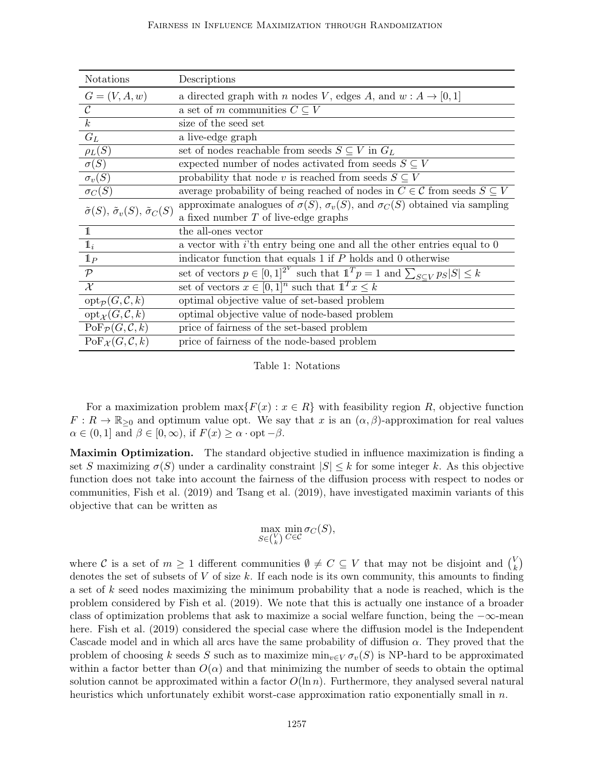| <b>Notations</b>                                              | Descriptions                                                                                     |
|---------------------------------------------------------------|--------------------------------------------------------------------------------------------------|
| $G = (V, A, w)$                                               | a directed graph with <i>n</i> nodes V, edges A, and $w : A \rightarrow [0,1]$                   |
| $\mathcal{C}$                                                 | a set of m communities $C \subseteq V$                                                           |
| $\boldsymbol{k}$                                              | size of the seed set                                                                             |
| $G_L$                                                         | a live-edge graph                                                                                |
| $\rho_L(S)$                                                   | set of nodes reachable from seeds $S \subseteq V$ in $G_L$                                       |
| $\sigma(S)$                                                   | expected number of nodes activated from seeds $S \subseteq V$                                    |
| $\sigma_v(S)$                                                 | probability that node v is reached from seeds $S \subseteq V$                                    |
| $\overline{\sigma_C(S)}$                                      | average probability of being reached of nodes in $C \in \mathcal{C}$ from seeds $S \subseteq V$  |
| $\tilde{\sigma}(S), \tilde{\sigma}_v(S), \tilde{\sigma}_C(S)$ | approximate analogues of $\sigma(S)$ , $\sigma_v(S)$ , and $\sigma_c(S)$ obtained via sampling   |
|                                                               | a fixed number $T$ of live-edge graphs                                                           |
| 1                                                             | the all-ones vector                                                                              |
| $\mathbf{1}_i$                                                | a vector with $i$ 'th entry being one and all the other entries equal to $0$                     |
| $\mathbb{1}_P$                                                | indicator function that equals 1 if $P$ holds and 0 otherwise                                    |
| $\mathcal{P}$                                                 | set of vectors $p \in [0,1]^{2^V}$ such that $1^T p = 1$ and $\sum_{S \subset V} p_S  S  \leq k$ |
| $\mathcal{X}$                                                 | set of vectors $x \in [0,1]^n$ such that $1^T x \leq k$                                          |
| $\mathrm{opt}_{\mathcal{P}}(G,\mathcal{C},k)$                 | optimal objective value of set-based problem                                                     |
| $\mathrm{opt}_{\mathcal{X}}(G,\mathcal{C},k)$                 | optimal objective value of node-based problem                                                    |
| $\mathrm{PoF}_{\mathcal{P}}(G, \mathcal{C}, k)$               | price of fairness of the set-based problem                                                       |
| $\text{PoF}_{\mathcal{X}}(G, \mathcal{C}, k)$                 | price of fairness of the node-based problem                                                      |

Table 1: Notations

For a maximization problem  $\max\{F(x): x \in R\}$  with feasibility region R, objective function  $F: R \to \mathbb{R}_{\geq 0}$  and optimum value opt. We say that x is an  $(\alpha, \beta)$ -approximation for real values  $\alpha \in (0,1]$  and  $\beta \in [0,\infty)$ , if  $F(x) \geq \alpha \cdot \mathrm{opt} - \beta$ .

Maximin Optimization. The standard objective studied in influence maximization is finding a set S maximizing  $\sigma(S)$  under a cardinality constraint  $|S| \leq k$  for some integer k. As this objective function does not take into account the fairness of the diffusion process with respect to nodes or communities, Fish et al. (2019) and Tsang et al. (2019), have investigated maximin variants of this objective that can be written as

$$
\max_{S \in {V \choose k}} \min_{C \in \mathcal{C}} \sigma_C(S),
$$

where C is a set of  $m \geq 1$  different communities  $\emptyset \neq C \subseteq V$  that may not be disjoint and  $\binom{V}{k}$  $_{k}^{\vee})$ denotes the set of subsets of  $V$  of size  $k$ . If each node is its own community, this amounts to finding a set of k seed nodes maximizing the minimum probability that a node is reached, which is the problem considered by Fish et al. (2019). We note that this is actually one instance of a broader class of optimization problems that ask to maximize a social welfare function, being the −∞-mean here. Fish et al. (2019) considered the special case where the diffusion model is the Independent Cascade model and in which all arcs have the same probability of diffusion  $\alpha$ . They proved that the problem of choosing k seeds S such as to maximize  $\min_{v \in V} \sigma_v(S)$  is NP-hard to be approximated within a factor better than  $O(\alpha)$  and that minimizing the number of seeds to obtain the optimal solution cannot be approximated within a factor  $O(\ln n)$ . Furthermore, they analysed several natural heuristics which unfortunately exhibit worst-case approximation ratio exponentially small in  $n$ .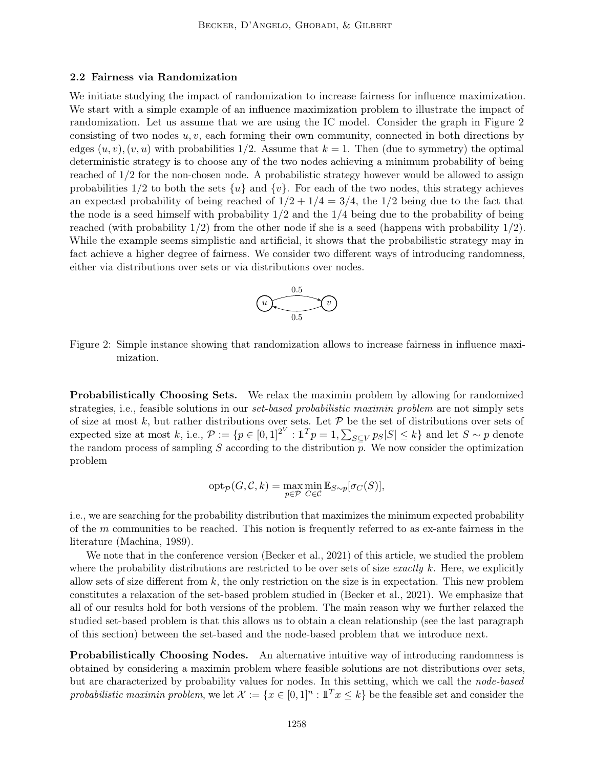#### 2.2 Fairness via Randomization

We initiate studying the impact of randomization to increase fairness for influence maximization. We start with a simple example of an influence maximization problem to illustrate the impact of randomization. Let us assume that we are using the IC model. Consider the graph in Figure 2 consisting of two nodes  $u, v$ , each forming their own community, connected in both directions by edges  $(u, v), (v, u)$  with probabilities 1/2. Assume that  $k = 1$ . Then (due to symmetry) the optimal deterministic strategy is to choose any of the two nodes achieving a minimum probability of being reached of 1/2 for the non-chosen node. A probabilistic strategy however would be allowed to assign probabilities  $1/2$  to both the sets  $\{u\}$  and  $\{v\}$ . For each of the two nodes, this strategy achieves an expected probability of being reached of  $1/2 + 1/4 = 3/4$ , the  $1/2$  being due to the fact that the node is a seed himself with probability  $1/2$  and the  $1/4$  being due to the probability of being reached (with probability  $1/2$ ) from the other node if she is a seed (happens with probability  $1/2$ ). While the example seems simplistic and artificial, it shows that the probabilistic strategy may in fact achieve a higher degree of fairness. We consider two different ways of introducing randomness, either via distributions over sets or via distributions over nodes.



Figure 2: Simple instance showing that randomization allows to increase fairness in influence maximization.

Probabilistically Choosing Sets. We relax the maximin problem by allowing for randomized strategies, i.e., feasible solutions in our *set-based probabilistic maximin problem* are not simply sets of size at most k, but rather distributions over sets. Let  $P$  be the set of distributions over sets of expected size at most k, i.e.,  $P := \{p \in [0,1]^{2^V} : \mathbb{1}^T p = 1, \sum_{S \subseteq V} p_S |S| \le k\}$  and let  $S \sim p$  denote the random process of sampling  $S$  according to the distribution  $p$ . We now consider the optimization problem

$$
\mathrm{opt}_{\mathcal{P}}(G, \mathcal{C}, k) = \max_{p \in \mathcal{P}} \min_{C \in \mathcal{C}} \mathbb{E}_{S \sim p}[\sigma_C(S)],
$$

i.e., we are searching for the probability distribution that maximizes the minimum expected probability of the  $m$  communities to be reached. This notion is frequently referred to as ex-ante fairness in the literature (Machina, 1989).

We note that in the conference version (Becker et al., 2021) of this article, we studied the problem where the probability distributions are restricted to be over sets of size exactly k. Here, we explicitly allow sets of size different from  $k$ , the only restriction on the size is in expectation. This new problem constitutes a relaxation of the set-based problem studied in (Becker et al., 2021). We emphasize that all of our results hold for both versions of the problem. The main reason why we further relaxed the studied set-based problem is that this allows us to obtain a clean relationship (see the last paragraph of this section) between the set-based and the node-based problem that we introduce next.

Probabilistically Choosing Nodes. An alternative intuitive way of introducing randomness is obtained by considering a maximin problem where feasible solutions are not distributions over sets, but are characterized by probability values for nodes. In this setting, which we call the node-based probabilistic maximin problem, we let  $\mathcal{X} := \{x \in [0,1]^n : \mathbb{1}^T x \leq k\}$  be the feasible set and consider the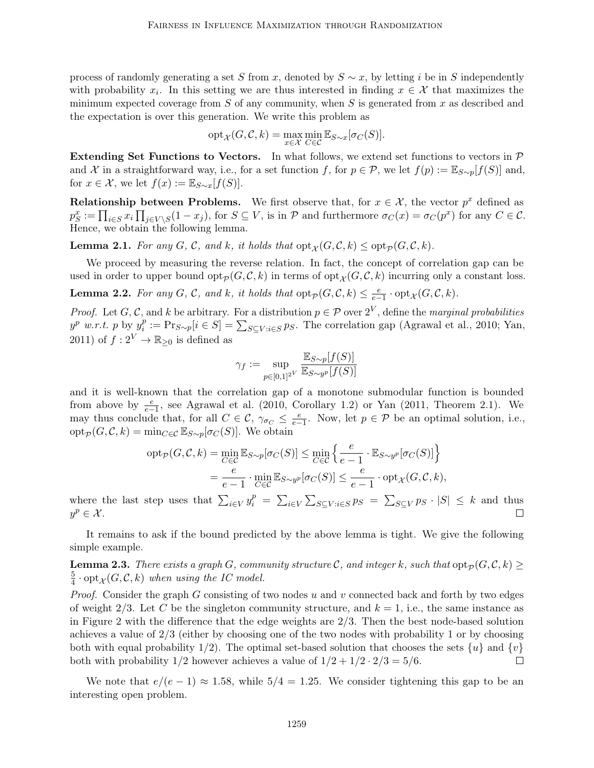process of randomly generating a set S from x, denoted by  $S \sim x$ , by letting i be in S independently with probability  $x_i$ . In this setting we are thus interested in finding  $x \in \mathcal{X}$  that maximizes the minimum expected coverage from  $S$  of any community, when  $S$  is generated from  $x$  as described and the expectation is over this generation. We write this problem as

$$
\mathrm{opt}_{\mathcal{X}}(G, \mathcal{C}, k) = \max_{x \in \mathcal{X}} \min_{C \in \mathcal{C}} \mathbb{E}_{S \sim x}[\sigma_C(S)].
$$

Extending Set Functions to Vectors. In what follows, we extend set functions to vectors in  $P$ and X in a straightforward way, i.e., for a set function f, for  $p \in \mathcal{P}$ , we let  $f(p) := \mathbb{E}_{S \sim p}[f(S)]$  and, for  $x \in \mathcal{X}$ , we let  $f(x) := \mathbb{E}_{S \sim x}[f(S)]$ .

**Relationship between Problems.** We first observe that, for  $x \in \mathcal{X}$ , the vector  $p^x$  defined as  $p_S^x := \prod_{i \in S} x_i \prod_{j \in V \setminus S} (1 - x_j)$ , for  $S \subseteq V$ , is in  $P$  and furthermore  $\sigma_C(x) = \sigma_C(p^x)$  for any  $C \in \mathcal{C}$ . Hence, we obtain the following lemma.

**Lemma 2.1.** For any G, C, and k, it holds that  $opt_{\mathcal{X}}(G, \mathcal{C}, k) \leq opt_{\mathcal{P}}(G, \mathcal{C}, k)$ .

We proceed by measuring the reverse relation. In fact, the concept of correlation gap can be used in order to upper bound  $\text{opt}_{\mathcal{P}}(G, \mathcal{C}, k)$  in terms of  $\text{opt}_{\mathcal{X}}(G, \mathcal{C}, k)$  incurring only a constant loss.

**Lemma 2.2.** For any G, C, and k, it holds that  $\text{opt}_\mathcal{P}(G, \mathcal{C}, k) \leq \frac{e}{e-1} \cdot \text{opt}_\mathcal{X}(G, \mathcal{C}, k)$ .

*Proof.* Let G, C, and k be arbitrary. For a distribution  $p \in \mathcal{P}$  over  $2^V$ , define the *marginal probabilities*  $y^p$  w.r.t. p by  $y_i^p$  $i<sup>p</sup>$  := Pr<sub>S∼p</sub>[ $i \in S$ ] =  $\sum_{S \subseteq V : i \in S} p_S$ . The correlation gap (Agrawal et al., 2010; Yan, 2011) of  $f: 2^V \to \mathbb{R}_{\geq 0}$  is defined as

$$
\gamma_f := \sup_{p \in [0,1]^{2^V}} \frac{\mathbb{E}_{S \sim p}[f(S)]}{\mathbb{E}_{S \sim y^p}[f(S)]}
$$

and it is well-known that the correlation gap of a monotone submodular function is bounded from above by  $\frac{e}{e-1}$ , see Agrawal et al. (2010, Corollary 1.2) or Yan (2011, Theorem 2.1). We may thus conclude that, for all  $C \in \mathcal{C}$ ,  $\gamma_{\sigma} \leq \frac{e}{e-1}$ . Now, let  $p \in \mathcal{P}$  be an optimal solution, i.e.,  $\mathrm{opt}_{\mathcal{P}}(G, \mathcal{C}, k) = \min_{C \in \mathcal{C}} \mathbb{E}_{S \sim p}[\sigma_C(S)]$ . We obtain

$$
\begin{aligned} \operatorname{opt}_{\mathcal{P}}(G, \mathcal{C}, k) &= \min_{C \in \mathcal{C}} \mathbb{E}_{S \sim p}[\sigma_C(S)] \le \min_{C \in \mathcal{C}} \left\{ \frac{e}{e - 1} \cdot \mathbb{E}_{S \sim y^p}[\sigma_C(S)] \right\} \\ &= \frac{e}{e - 1} \cdot \min_{C \in \mathcal{C}} \mathbb{E}_{S \sim y^p}[\sigma_C(S)] \le \frac{e}{e - 1} \cdot \operatorname{opt}_{\mathcal{X}}(G, \mathcal{C}, k), \end{aligned}
$$

where the last step uses that  $\sum_{i\in V} y_i^p = \sum_{i\in V} \sum_{S\subseteq V:i\in S} p_S = \sum_{S\subseteq V} p_S \cdot |S| \leq k$  and thus  $y^p \in \mathcal{X}$ .  $\Box$ 

It remains to ask if the bound predicted by the above lemma is tight. We give the following simple example.

**Lemma 2.3.** There exists a graph G, community structure C, and integer k, such that  $opt_{\mathcal{P}}(G, \mathcal{C}, k) \ge$ 5  $\frac{5}{4} \cdot \mathop{\rm opt}\nolimits_{\mathcal X}(G,{\mathcal C},k)$  when using the IC model.

*Proof.* Consider the graph G consisting of two nodes u and v connected back and forth by two edges of weight 2/3. Let C be the singleton community structure, and  $k = 1$ , i.e., the same instance as in Figure 2 with the difference that the edge weights are 2/3. Then the best node-based solution achieves a value of 2/3 (either by choosing one of the two nodes with probability 1 or by choosing both with equal probability 1/2). The optimal set-based solution that chooses the sets  $\{u\}$  and  $\{v\}$ both with probability  $1/2$  however achieves a value of  $1/2 + 1/2 \cdot 2/3 = 5/6$ .  $\Box$ 

We note that  $e/(e-1) \approx 1.58$ , while  $5/4 = 1.25$ . We consider tightening this gap to be an interesting open problem.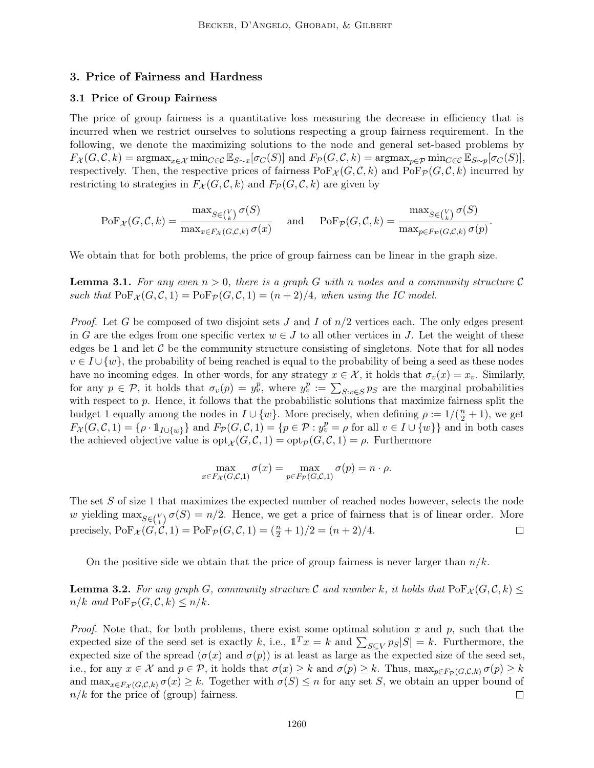## 3. Price of Fairness and Hardness

#### 3.1 Price of Group Fairness

The price of group fairness is a quantitative loss measuring the decrease in efficiency that is incurred when we restrict ourselves to solutions respecting a group fairness requirement. In the following, we denote the maximizing solutions to the node and general set-based problems by  $F_{\mathcal{X}}(G, \mathcal{C}, k) = \operatorname{argmax}_{x \in \mathcal{X}} \min_{C \in \mathcal{C}} \mathbb{E}_{S \sim x}[\sigma_C(S)]$  and  $F_{\mathcal{P}}(G, \mathcal{C}, k) = \operatorname{argmax}_{p \in \mathcal{P}} \min_{C \in \mathcal{C}} \mathbb{E}_{S \sim p}[\sigma_C(S)],$ respectively. Then, the respective prices of fairness  $\text{PoF}_{\mathcal{X}}(G, \mathcal{C}, k)$  and  $\text{PoF}_{\mathcal{P}}(G, \mathcal{C}, k)$  incurred by restricting to strategies in  $F_{\mathcal{X}}(G, \mathcal{C}, k)$  and  $F_{\mathcal{P}}(G, \mathcal{C}, k)$  are given by

$$
\mathrm{PoF}_{\mathcal{X}}(G, \mathcal{C}, k) = \frac{\max_{S \in {V} \atop \text{max}_{x \in F_{\mathcal{X}}(G, \mathcal{C}, k)} \sigma(x)} \quad \text{and} \quad \mathrm{PoF}_{\mathcal{P}}(G, \mathcal{C}, k) = \frac{\max_{S \in {V} \atop \text{max}_{p \in F_{\mathcal{P}}(G, \mathcal{C}, k)} \sigma(p)} \text{.}
$$

We obtain that for both problems, the price of group fairness can be linear in the graph size.

**Lemma 3.1.** For any even  $n > 0$ , there is a graph G with n nodes and a community structure C such that  $\text{PoF}_{\mathcal{X}}(G, \mathcal{C}, 1) = \text{PoF}_{\mathcal{P}}(G, \mathcal{C}, 1) = (n+2)/4$ , when using the IC model.

*Proof.* Let G be composed of two disjoint sets J and I of  $n/2$  vertices each. The only edges present in G are the edges from one specific vertex  $w \in J$  to all other vertices in J. Let the weight of these edges be 1 and let  $\mathcal C$  be the community structure consisting of singletons. Note that for all nodes  $v \in I \cup \{w\}$ , the probability of being reached is equal to the probability of being a seed as these nodes have no incoming edges. In other words, for any strategy  $x \in \mathcal{X}$ , it holds that  $\sigma_v(x) = x_v$ . Similarly, for any  $p \in \mathcal{P}$ , it holds that  $\sigma_v(p) = y_v^p$ , where  $y_v^p := \sum_{S:v \in S} p_S$  are the marginal probabilities with respect to p. Hence, it follows that the probabilistic solutions that maximize fairness split the budget 1 equally among the nodes in  $I \cup \{w\}$ . More precisely, when defining  $\rho := 1/(\frac{n}{2} + 1)$ , we get  $F_{\mathcal{X}}(G, \mathcal{C}, 1) = \{ \rho \cdot 1_{I \cup \{w\}} \}$  and  $F_{\mathcal{P}}(G, \mathcal{C}, 1) = \{ p \in \mathcal{P} : y_v^p = \rho \text{ for all } v \in I \cup \{w\} \}$  and in both cases the achieved objective value is  $opt_{\mathcal{X}}(G, \mathcal{C}, 1) = opt_{\mathcal{P}}(G, \mathcal{C}, 1) = \rho$ . Furthermore

$$
\max_{x \in F_{\mathcal{X}}(G, \mathcal{C}, 1)} \sigma(x) = \max_{p \in F_{\mathcal{P}}(G, \mathcal{C}, 1)} \sigma(p) = n \cdot \rho.
$$

The set S of size 1 that maximizes the expected number of reached nodes however, selects the node w yielding  $\max_{S \in {V \choose 1}} \sigma(S) = n/2$ . Hence, we get a price of fairness that is of linear order. More precisely,  $\text{PoF}_{\mathcal{X}}(G, C, 1) = \text{PoF}_{\mathcal{P}}(G, C, 1) = \left(\frac{n}{2} + 1\right)/2 = (n + 2)/4.$  $\Box$ 

On the positive side we obtain that the price of group fairness is never larger than  $n/k$ .

**Lemma 3.2.** For any graph G, community structure C and number k, it holds that  $\text{PoF}_{\mathcal{X}}(G, \mathcal{C}, k) \leq$  $n/k$  and  $\text{PoF}_{\mathcal{P}}(G, \mathcal{C}, k) \leq n/k$ .

*Proof.* Note that, for both problems, there exist some optimal solution  $x$  and  $p$ , such that the expected size of the seed set is exactly k, i.e.,  $\mathbb{1}^T x = k$  and  $\sum_{S \subseteq V} p_S |S| = k$ . Furthermore, the expected size of the spread  $(\sigma(x)$  and  $\sigma(p)$  is at least as large as the expected size of the seed set, i.e., for any  $x \in \mathcal{X}$  and  $p \in \mathcal{P}$ , it holds that  $\sigma(x) \geq k$  and  $\sigma(p) \geq k$ . Thus,  $\max_{p \in F_{\mathcal{P}}(G,\mathcal{C},k)} \sigma(p) \geq k$ and  $\max_{x \in F_X(G, \mathcal{C}, k)} \sigma(x) \geq k$ . Together with  $\sigma(S) \leq n$  for any set S, we obtain an upper bound of  $n/k$  for the price of (group) fairness.  $\Box$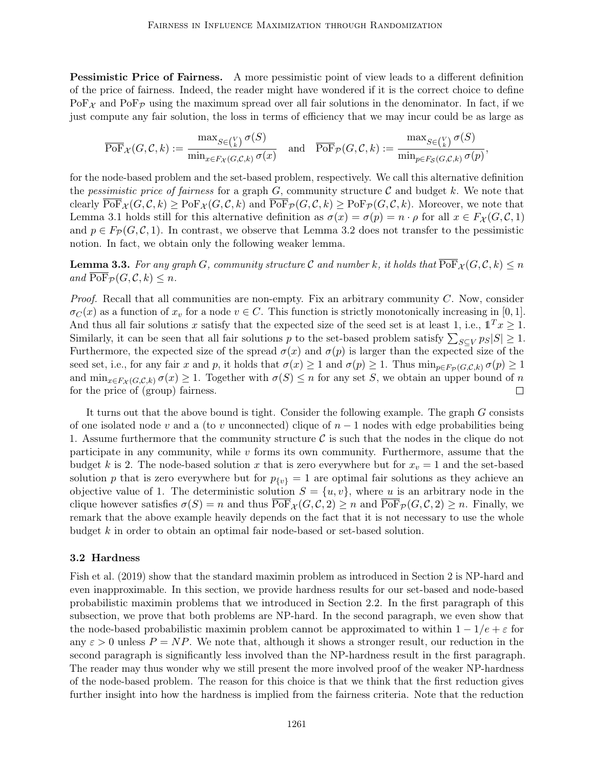**Pessimistic Price of Fairness.** A more pessimistic point of view leads to a different definition of the price of fairness. Indeed, the reader might have wondered if it is the correct choice to define  $\text{PoF}_{\mathcal{X}}$  and  $\text{PoF}_{\mathcal{P}}$  using the maximum spread over all fair solutions in the denominator. In fact, if we just compute any fair solution, the loss in terms of efficiency that we may incur could be as large as

$$
\overline{\mathrm{PoF}}_{\mathcal{X}}(G, \mathcal{C}, k) := \frac{\max_{S \in {V \choose k}} \sigma(S)}{\min_{x \in F_{\mathcal{X}}(G, \mathcal{C}, k)} \sigma(x)} \quad \text{and} \quad \overline{\mathrm{PoF}}_{\mathcal{P}}(G, \mathcal{C}, k) := \frac{\max_{S \in {V \choose k}} \sigma(S)}{\min_{p \in F_{\mathcal{S}}(G, \mathcal{C}, k)} \sigma(p)},
$$

for the node-based problem and the set-based problem, respectively. We call this alternative definition the pessimistic price of fairness for a graph  $G$ , community structure  $\mathcal C$  and budget k. We note that clearly  $\overline{\text{PoF}}_{\mathcal{X}}(G, \mathcal{C}, k) \ge \text{PoF}_{\mathcal{X}}(G, \mathcal{C}, k)$  and  $\overline{\text{PoF}}_{\mathcal{P}}(G, \mathcal{C}, k) \ge \text{PoF}_{\mathcal{P}}(G, \mathcal{C}, k)$ . Moreover, we note that Lemma 3.1 holds still for this alternative definition as  $\sigma(x) = \sigma(p) = n \cdot \rho$  for all  $x \in F_{\mathcal{X}}(G, \mathcal{C}, 1)$ and  $p \in F_{\mathcal{P}}(G, \mathcal{C}, 1)$ . In contrast, we observe that Lemma 3.2 does not transfer to the pessimistic notion. In fact, we obtain only the following weaker lemma.

**Lemma 3.3.** For any graph G, community structure C and number k, it holds that  $\overline{\text{PoF}}_{\mathcal{X}}(G, \mathcal{C}, k) \leq n$ and  $\overline{\mathrm{PoF}}_{\mathcal{P}}(G, \mathcal{C}, k) \leq n$ .

Proof. Recall that all communities are non-empty. Fix an arbitrary community C. Now, consider  $\sigma_C(x)$  as a function of  $x_v$  for a node  $v \in C$ . This function is strictly monotonically increasing in [0, 1]. And thus all fair solutions x satisfy that the expected size of the seed set is at least 1, i.e.,  $\mathbb{1}^T x \geq 1$ . Similarly, it can be seen that all fair solutions p to the set-based problem satisfy  $\sum_{S \subseteq V} p_S |S| \ge 1$ . Furthermore, the expected size of the spread  $\sigma(x)$  and  $\sigma(p)$  is larger than the expected size of the seed set, i.e., for any fair x and p, it holds that  $\sigma(x) \geq 1$  and  $\sigma(p) \geq 1$ . Thus  $\min_{p \in F_p(G,\mathcal{C},k)} \sigma(p) \geq 1$ and  $\min_{x \in F_X(G, \mathcal{C}, k)} \sigma(x) \geq 1$ . Together with  $\sigma(S) \leq n$  for any set S, we obtain an upper bound of n for the price of (group) fairness.  $\Box$ 

It turns out that the above bound is tight. Consider the following example. The graph G consists of one isolated node v and a (to v unconnected) clique of  $n-1$  nodes with edge probabilities being 1. Assume furthermore that the community structure  $\mathcal C$  is such that the nodes in the clique do not participate in any community, while  $v$  forms its own community. Furthermore, assume that the budget k is 2. The node-based solution x that is zero everywhere but for  $x_v = 1$  and the set-based solution p that is zero everywhere but for  $p_{\{v\}} = 1$  are optimal fair solutions as they achieve an objective value of 1. The deterministic solution  $S = \{u, v\}$ , where u is an arbitrary node in the clique however satisfies  $\sigma(S) = n$  and thus  $\text{PoF}_{\mathcal{X}}(G, \mathcal{C}, 2) \geq n$  and  $\text{PoF}_{\mathcal{P}}(G, \mathcal{C}, 2) \geq n$ . Finally, we remark that the above example heavily depends on the fact that it is not necessary to use the whole budget k in order to obtain an optimal fair node-based or set-based solution.

#### 3.2 Hardness

Fish et al. (2019) show that the standard maximin problem as introduced in Section 2 is NP-hard and even inapproximable. In this section, we provide hardness results for our set-based and node-based probabilistic maximin problems that we introduced in Section 2.2. In the first paragraph of this subsection, we prove that both problems are NP-hard. In the second paragraph, we even show that the node-based probabilistic maximin problem cannot be approximated to within  $1 - 1/e + \varepsilon$  for any  $\varepsilon > 0$  unless  $P = NP$ . We note that, although it shows a stronger result, our reduction in the second paragraph is significantly less involved than the NP-hardness result in the first paragraph. The reader may thus wonder why we still present the more involved proof of the weaker NP-hardness of the node-based problem. The reason for this choice is that we think that the first reduction gives further insight into how the hardness is implied from the fairness criteria. Note that the reduction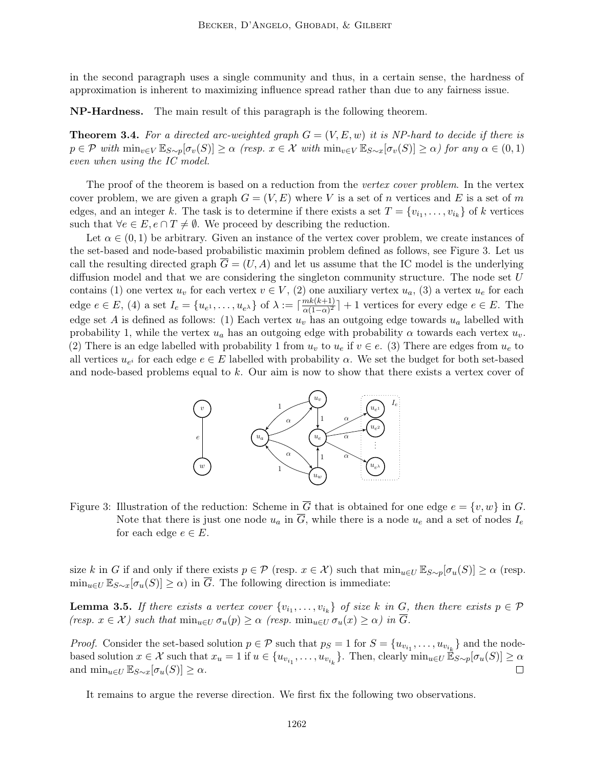in the second paragraph uses a single community and thus, in a certain sense, the hardness of approximation is inherent to maximizing influence spread rather than due to any fairness issue.

NP-Hardness. The main result of this paragraph is the following theorem.

**Theorem 3.4.** For a directed arc-weighted graph  $G = (V, E, w)$  it is NP-hard to decide if there is  $p \in \mathcal{P}$  with  $\min_{v \in V} \mathbb{E}_{S \sim p}[\sigma_v(S)] \ge \alpha$  (resp.  $x \in \mathcal{X}$  with  $\min_{v \in V} \mathbb{E}_{S \sim x}[\sigma_v(S)] \ge \alpha$ ) for any  $\alpha \in (0, 1)$ even when using the IC model.

The proof of the theorem is based on a reduction from the vertex cover problem. In the vertex cover problem, we are given a graph  $G = (V, E)$  where V is a set of n vertices and E is a set of m edges, and an integer k. The task is to determine if there exists a set  $T = \{v_{i_1}, \ldots, v_{i_k}\}$  of k vertices such that  $\forall e \in E, e \cap T \neq \emptyset$ . We proceed by describing the reduction.

Let  $\alpha \in (0,1)$  be arbitrary. Given an instance of the vertex cover problem, we create instances of the set-based and node-based probabilistic maximin problem defined as follows, see Figure 3. Let us call the resulting directed graph  $\overline{G} = (U, A)$  and let us assume that the IC model is the underlying diffusion model and that we are considering the singleton community structure. The node set U contains (1) one vertex  $u_v$  for each vertex  $v \in V$ , (2) one auxiliary vertex  $u_a$ , (3) a vertex  $u_e$  for each edge  $e \in E$ , (4) a set  $I_e = \{u_{e^1}, \ldots, u_{e^{\lambda}}\}$  of  $\lambda := \lceil \frac{mk(k+1)}{\alpha(1-\alpha)^2} \rceil$  $\frac{mk(k+1)}{\alpha(1-\alpha)^2}$  + 1 vertices for every edge  $e \in E$ . The edge set A is defined as follows: (1) Each vertex  $u<sub>v</sub>$  has an outgoing edge towards  $u<sub>a</sub>$  labelled with probability 1, while the vertex  $u_a$  has an outgoing edge with probability  $\alpha$  towards each vertex  $u_v$ . (2) There is an edge labelled with probability 1 from  $u_v$  to  $u_e$  if  $v \in e$ . (3) There are edges from  $u_e$  to all vertices  $u_{e^i}$  for each edge  $e \in E$  labelled with probability  $\alpha$ . We set the budget for both set-based and node-based problems equal to k. Our aim is now to show that there exists a vertex cover of



Figure 3: Illustration of the reduction: Scheme in  $\overline{G}$  that is obtained for one edge  $e = \{v, w\}$  in G. Note that there is just one node  $u_a$  in  $\overline{G}$ , while there is a node  $u_e$  and a set of nodes  $I_e$ for each edge  $e \in E$ .

size k in G if and only if there exists  $p \in \mathcal{P}$  (resp.  $x \in \mathcal{X}$ ) such that  $\min_{u \in U} \mathbb{E}_{S \sim p}[\sigma_u(S)] \ge \alpha$  (resp.  $\min_{u \in U} \mathbb{E}_{S \sim x} [\sigma_u(S)] \ge \alpha$  in  $\overline{G}$ . The following direction is immediate:

**Lemma 3.5.** If there exists a vertex cover  $\{v_{i_1}, \ldots, v_{i_k}\}$  of size k in G, then there exists  $p \in \mathcal{P}$ (resp.  $x \in \mathcal{X}$ ) such that  $\min_{u \in U} \sigma_u(p) \geq \alpha$  (resp.  $\min_{u \in U} \sigma_u(x) \geq \alpha$ ) in  $\overline{G}$ .

*Proof.* Consider the set-based solution  $p \in \mathcal{P}$  such that  $p_S = 1$  for  $S = \{u_{v_{i_1}}, \ldots, u_{v_{i_k}}\}$  and the nodebased solution  $x \in \mathcal{X}$  such that  $x_u = 1$  if  $u \in \{u_{v_{i_1}}, \ldots, u_{v_{i_k}}\}$ . Then, clearly  $\min_{u \in U} \mathbb{E}_{S \sim p}[\sigma_u(S)] \ge \alpha$ and  $\min_{u \in U} \mathbb{E}_{S \sim x}[\sigma_u(S)] \geq \alpha$ .  $\Box$ 

It remains to argue the reverse direction. We first fix the following two observations.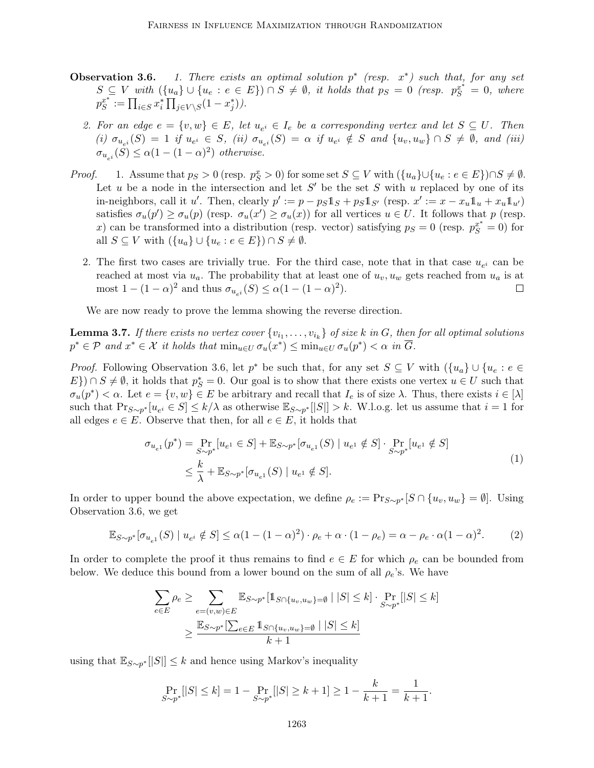- **Observation 3.6.** 1. There exists an optimal solution  $p^*$  (resp.  $x^*$ ) such that, for any set  $S \subseteq V$  with  $(\{u_a\} \cup \{u_e : e \in E\}) \cap S \neq \emptyset$ , it holds that  $p_S = 0$  (resp.  $p_S^{x^*} = 0$ , where  $p_S^x$  $s^* := \prod_{i \in S} x_i^* \prod_{j \in V \setminus S} (1 - x_j^*)$ .
	- 2. For an edge  $e = \{v, w\} \in E$ , let  $u_{e^i} \in I_e$  be a corresponding vertex and let  $S \subseteq U$ . Then (i)  $\sigma_{u_{e^i}}(S) = 1$  if  $u_{e^i} \in S$ , (ii)  $\sigma_{u_{e^i}}(S) = \alpha$  if  $u_{e^i} \notin S$  and  $\{u_v, u_w\} \cap S \neq \emptyset$ , and (iii)  $\sigma_{u_{e^i}}(S) \leq \alpha(1-(1-\alpha)^2)$  otherwise.
- *Proof.* 1. Assume that  $p_S > 0$  (resp.  $p_S^x > 0$ ) for some set  $S \subseteq V$  with  $({u_a} \cup {u_e : e \in E}) \cap S \neq \emptyset$ . Let u be a node in the intersection and let  $S'$  be the set S with u replaced by one of its in-neighbors, call it u'. Then, clearly  $p' := p - p_S \mathbb{1}_S + p_S \mathbb{1}_{S'}$  (resp.  $x' := x - x_u \mathbb{1}_u + x_u \mathbb{1}_{u'}$ ) satisfies  $\sigma_u(p') \geq \sigma_u(p)$  (resp.  $\sigma_u(x') \geq \sigma_u(x)$ ) for all vertices  $u \in U$ . It follows that p (resp. x) can be transformed into a distribution (resp. vector) satisfying  $p_S = 0$  (resp.  $p_S^{x^*} = 0$ ) for all  $S \subseteq V$  with  $({u_a} \cup {u_e : e \in E}) \cap S \neq \emptyset$ .
	- 2. The first two cases are trivially true. For the third case, note that in that case  $u_{e^i}$  can be reached at most via  $u_a$ . The probability that at least one of  $u_v$ ,  $u_w$  gets reached from  $u_a$  is at most  $1 - (1 - \alpha)^2$  and thus  $\sigma_{u_{e^i}}(S) \leq \alpha (1 - (1 - \alpha)^2)$ . П

We are now ready to prove the lemma showing the reverse direction.

**Lemma 3.7.** If there exists no vertex cover  $\{v_{i_1}, \ldots, v_{i_k}\}$  of size k in G, then for all optimal solutions  $p^* \in \mathcal{P}$  and  $x^* \in \mathcal{X}$  it holds that  $\min_{u \in U} \sigma_u(x^*) \leq \min_{u \in U} \sigma_u(p^*) < \alpha$  in  $\overline{G}$ .

*Proof.* Following Observation 3.6, let  $p^*$  be such that, for any set  $S \subseteq V$  with  $(\{u_a\} \cup \{u_e : e \in V\})$  $E\}\supseteq S \neq \emptyset$ , it holds that  $p_S^* = 0$ . Our goal is to show that there exists one vertex  $u \in U$  such that  $\sigma_u(p^*) < \alpha$ . Let  $e = \{v, w\} \in E$  be arbitrary and recall that  $I_e$  is of size  $\lambda$ . Thus, there exists  $i \in [\lambda]$ such that  $Pr_{S\sim p^*}[u_{e^i} \in S] \leq k/\lambda$  as otherwise  $\mathbb{E}_{S\sim p^*}[|S|] > k$ . W.l.o.g. let us assume that  $i=1$  for all edges  $e \in E$ . Observe that then, for all  $e \in E$ , it holds that

$$
\sigma_{u_{e^1}}(p^*) = \Pr_{S \sim p^*}[u_{e^1} \in S] + \mathbb{E}_{S \sim p^*}[\sigma_{u_{e^1}}(S) \mid u_{e^1} \notin S] \cdot \Pr_{S \sim p^*}[u_{e^1} \notin S]
$$
\n
$$
\leq \frac{k}{\lambda} + \mathbb{E}_{S \sim p^*}[\sigma_{u_{e^1}}(S) \mid u_{e^1} \notin S].
$$
\n(1)

In order to upper bound the above expectation, we define  $\rho_e := \Pr_{S \sim p^*}[S \cap \{u_v, u_w\} = \emptyset]$ . Using Observation 3.6, we get

$$
\mathbb{E}_{S \sim p^*}[\sigma_{u_{e^1}}(S) \mid u_{e^i} \notin S] \le \alpha (1 - (1 - \alpha)^2) \cdot \rho_e + \alpha \cdot (1 - \rho_e) = \alpha - \rho_e \cdot \alpha (1 - \alpha)^2. \tag{2}
$$

In order to complete the proof it thus remains to find  $e \in E$  for which  $\rho_e$  can be bounded from below. We deduce this bound from a lower bound on the sum of all  $\rho_e$ 's. We have

$$
\sum_{e \in E} \rho_e \ge \sum_{e = (v,w) \in E} \mathbb{E}_{S \sim p^*} [\mathbb{1}_{S \cap \{u_v, u_w\} = \emptyset} \mid |S| \le k] \cdot \Pr_{S \sim p^*} [|S| \le k]
$$

$$
\ge \frac{\mathbb{E}_{S \sim p^*} [\sum_{e \in E} \mathbb{1}_{S \cap \{u_v, u_w\} = \emptyset} \mid |S| \le k]}{k+1}
$$

using that  $\mathbb{E}_{S \sim p^*}[|S|] \leq k$  and hence using Markov's inequality

$$
\Pr_{S \sim p^*}[|S| \le k] = 1 - \Pr_{S \sim p^*}[|S| \ge k+1] \ge 1 - \frac{k}{k+1} = \frac{1}{k+1}.
$$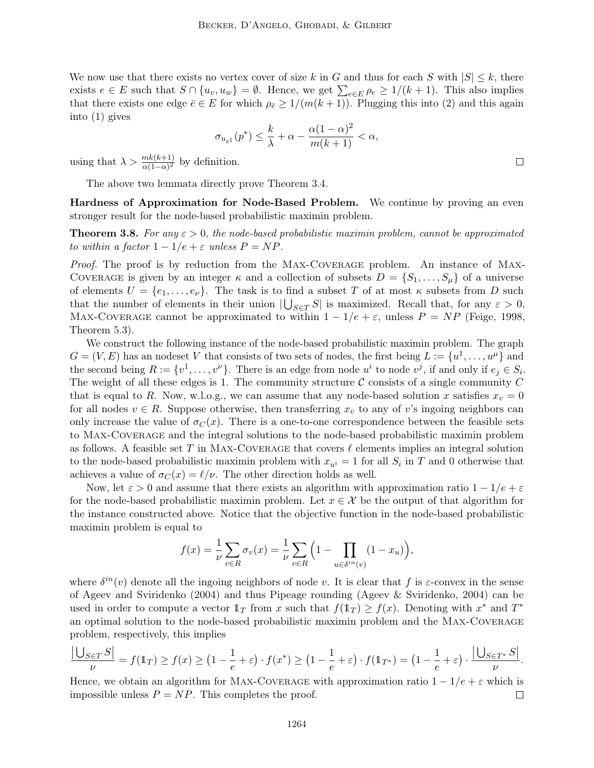We now use that there exists no vertex cover of size k in G and thus for each S with  $|S| \leq k$ , there exists  $e \in E$  such that  $S \cap \{u_v, u_w\} = \emptyset$ . Hence, we get  $\sum_{e \in E} \rho_e \ge 1/(k+1)$ . This also implies that there exists one edge  $\bar{e} \in E$  for which  $\rho_{\bar{e}} \geq 1/(m(k+1))$ . Plugging this into (2) and this again into (1) gives

$$
\sigma_{u_{\bar{e}^1}}(p^*) \leq \frac{k}{\lambda} + \alpha - \frac{\alpha(1-\alpha)^2}{m(k+1)} < \alpha,
$$

using that  $\lambda > \frac{mk(k+1)}{\alpha(1-\alpha)^2}$  by definition.

The above two lemmata directly prove Theorem 3.4.

Hardness of Approximation for Node-Based Problem. We continue by proving an even stronger result for the node-based probabilistic maximin problem.

**Theorem 3.8.** For any  $\varepsilon > 0$ , the node-based probabilistic maximin problem, cannot be approximated to within a factor  $1 - 1/e + \varepsilon$  unless  $P = NP$ .

Proof. The proof is by reduction from the MAX-COVERAGE problem. An instance of MAX-COVERAGE is given by an integer  $\kappa$  and a collection of subsets  $D = \{S_1, \ldots, S_n\}$  of a universe of elements  $U = \{e_1, \ldots, e_{\nu}\}.$  The task is to find a subset T of at most  $\kappa$  subsets from D such that the number of elements in their union  $|\bigcup_{S\in T} S|$  is maximized. Recall that, for any  $\varepsilon > 0$ , MAX-COVERAGE cannot be approximated to within  $1 - 1/e + \varepsilon$ , unless  $P = NP$  (Feige, 1998, Theorem 5.3).

We construct the following instance of the node-based probabilistic maximin problem. The graph  $G = (V, E)$  has an nodeset V that consists of two sets of nodes, the first being  $L := \{u^1, \ldots, u^{\mu}\}\$ and the second being  $R := \{v^1, \ldots, v^{\nu}\}\$ . There is an edge from node  $u^i$  to node  $v^j$ , if and only if  $e_j \in S_i$ . The weight of all these edges is 1. The community structure  $\mathcal C$  consists of a single community  $C$ that is equal to R. Now, w.l.o.g., we can assume that any node-based solution x satisfies  $x_v = 0$ for all nodes  $v \in R$ . Suppose otherwise, then transferring  $x_v$  to any of v's ingoing neighbors can only increase the value of  $\sigma_C(x)$ . There is a one-to-one correspondence between the feasible sets to Max-Coverage and the integral solutions to the node-based probabilistic maximin problem as follows. A feasible set T in MAX-COVERAGE that covers  $\ell$  elements implies an integral solution to the node-based probabilistic maximin problem with  $x_{u}$  = 1 for all  $S_i$  in T and 0 otherwise that achieves a value of  $\sigma_C(x) = \ell/\nu$ . The other direction holds as well.

Now, let  $\varepsilon > 0$  and assume that there exists an algorithm with approximation ratio  $1 - 1/e + \varepsilon$ for the node-based probabilistic maximin problem. Let  $x \in \mathcal{X}$  be the output of that algorithm for the instance constructed above. Notice that the objective function in the node-based probabilistic maximin problem is equal to

$$
f(x) = \frac{1}{\nu} \sum_{v \in R} \sigma_v(x) = \frac{1}{\nu} \sum_{v \in R} \left( 1 - \prod_{u \in \delta^{in}(v)} (1 - x_u) \right),
$$

where  $\delta^{in}(v)$  denote all the ingoing neighbors of node v. It is clear that f is  $\varepsilon$ -convex in the sense of Ageev and Sviridenko (2004) and thus Pipeage rounding (Ageev & Sviridenko, 2004) can be used in order to compute a vector  $1_T$  from x such that  $f(1_T) \ge f(x)$ . Denoting with  $x^*$  and  $T^*$ an optimal solution to the node-based probabilistic maximin problem and the Max-Coverage problem, respectively, this implies

$$
\frac{|\bigcup_{S\in T}S|}{\nu}=f(\mathbb{1}_T)\geq f(x)\geq \left(1-\frac{1}{e}+\varepsilon\right)\cdot f(x^*)\geq \left(1-\frac{1}{e}+\varepsilon\right)\cdot f(\mathbb{1}_{T^*})=\left(1-\frac{1}{e}+\varepsilon\right)\cdot \frac{|\bigcup_{S\in T^*}S|}{\nu}.
$$

Hence, we obtain an algorithm for MAX-COVERAGE with approximation ratio  $1 - 1/e + \varepsilon$  which is impossible unless  $P = NP$ . This completes the proof.  $\Box$ 

 $\Box$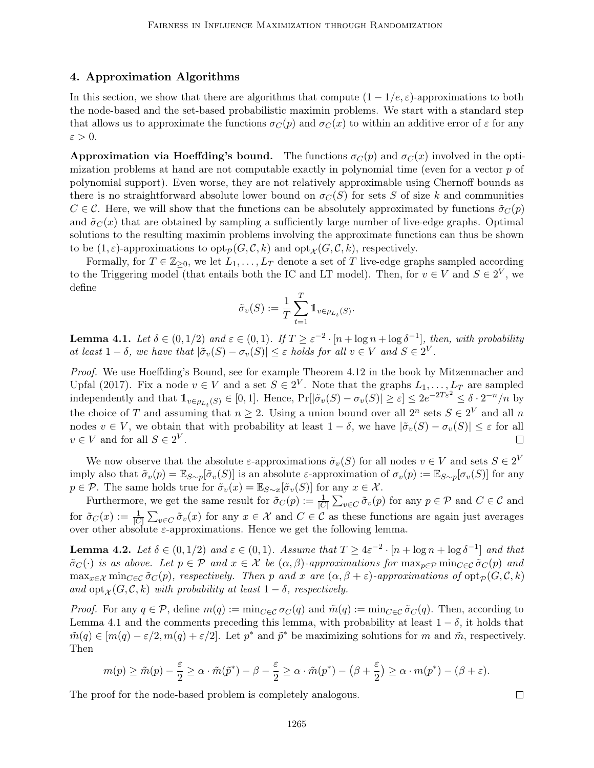## 4. Approximation Algorithms

In this section, we show that there are algorithms that compute  $(1 - 1/e, \varepsilon)$ -approximations to both the node-based and the set-based probabilistic maximin problems. We start with a standard step that allows us to approximate the functions  $\sigma_C(p)$  and  $\sigma_C(x)$  to within an additive error of  $\varepsilon$  for any  $\varepsilon > 0$ .

**Approximation via Hoeffding's bound.** The functions  $\sigma_C(p)$  and  $\sigma_C(x)$  involved in the optimization problems at hand are not computable exactly in polynomial time (even for a vector  $p$  of polynomial support). Even worse, they are not relatively approximable using Chernoff bounds as there is no straightforward absolute lower bound on  $\sigma_C(S)$  for sets S of size k and communities  $C \in \mathcal{C}$ . Here, we will show that the functions can be absolutely approximated by functions  $\tilde{\sigma}_C(p)$ and  $\tilde{\sigma}_C(x)$  that are obtained by sampling a sufficiently large number of live-edge graphs. Optimal solutions to the resulting maximin problems involving the approximate functions can thus be shown to be  $(1, \varepsilon)$ -approximations to  $\text{opt}_{\mathcal{P}}(G, \mathcal{C}, k)$  and  $\text{opt}_{\mathcal{X}}(G, \mathcal{C}, k)$ , respectively.

Formally, for  $T \in \mathbb{Z}_{\geq 0}$ , we let  $L_1, \ldots, L_T$  denote a set of T live-edge graphs sampled according to the Triggering model (that entails both the IC and LT model). Then, for  $v \in V$  and  $S \in 2^V$ , we define

$$
\tilde{\sigma}_v(S) := \frac{1}{T} \sum_{t=1}^T \mathbb{1}_{v \in \rho_{L_t}(S)}.
$$

**Lemma 4.1.** Let  $\delta \in (0,1/2)$  and  $\varepsilon \in (0,1)$ . If  $T \geq \varepsilon^{-2} \cdot [n + \log n + \log \delta^{-1}]$ , then, with probability at least  $1 - \delta$ , we have that  $|\tilde{\sigma}_v(S) - \sigma_v(S)| \leq \varepsilon$  holds for all  $v \in V$  and  $S \in 2^V$ .

Proof. We use Hoeffding's Bound, see for example Theorem 4.12 in the book by Mitzenmacher and Upfal (2017). Fix a node  $v \in V$  and a set  $S \in 2^V$ . Note that the graphs  $L_1, \ldots, L_T$  are sampled independently and that  $\mathbb{1}_{v \in \rho_{L_t}(S)} \in [0,1]$ . Hence,  $Pr[|\tilde{\sigma}_v(S) - \sigma_v(S)| \geq \varepsilon] \leq 2e^{-2T\varepsilon^2} \leq \delta \cdot 2^{-n}/n$  by the choice of T and assuming that  $n \geq 2$ . Using a union bound over all  $2^n$  sets  $S \in 2^V$  and all n nodes  $v \in V$ , we obtain that with probability at least  $1 - \delta$ , we have  $|\tilde{\sigma}_v(S) - \sigma_v(S)| \leq \varepsilon$  for all  $v \in V$  and for all  $S \in 2^V$ .  $\Box$ 

We now observe that the absolute  $\varepsilon$ -approximations  $\tilde{\sigma}_v(S)$  for all nodes  $v \in V$  and sets  $S \in 2^V$ imply also that  $\tilde{\sigma}_v(p) = \mathbb{E}_{S \sim p}[\tilde{\sigma}_v(S)]$  is an absolute  $\varepsilon$ -approximation of  $\sigma_v(p) := \mathbb{E}_{S \sim p}[\sigma_v(S)]$  for any  $p \in \mathcal{P}$ . The same holds true for  $\tilde{\sigma}_v(x) = \mathbb{E}_{S \sim x}[\tilde{\sigma}_v(S)]$  for any  $x \in \mathcal{X}$ .

Furthermore, we get the same result for  $\tilde{\sigma}_C(p) := \frac{1}{|C|} \sum_{v \in C} \tilde{\sigma}_v(p)$  for any  $p \in \mathcal{P}$  and  $C \in \mathcal{C}$  and for  $\tilde{\sigma}_C(x) := \frac{1}{|C|} \sum_{v \in C} \tilde{\sigma}_v(x)$  for any  $x \in \mathcal{X}$  and  $C \in \mathcal{C}$  as these functions are again just averages over other absolute  $\varepsilon$ -approximations. Hence we get the following lemma.

**Lemma 4.2.** Let  $\delta \in (0,1/2)$  and  $\varepsilon \in (0,1)$ . Assume that  $T \geq 4\varepsilon^{-2} \cdot [n + \log n + \log \delta^{-1}]$  and that  $\tilde{\sigma}_C(\cdot)$  is as above. Let  $p \in \mathcal{P}$  and  $x \in \mathcal{X}$  be  $(\alpha, \beta)$ -approximations for  $\max_{p \in \mathcal{P}} \min_{C \in \mathcal{C}} \tilde{\sigma}_C(p)$  and  $\max_{x \in \mathcal{X}} \min_{C \in \mathcal{C}} \tilde{\sigma}_C(p)$ , respectively. Then p and x are  $(\alpha, \beta + \varepsilon)$ -approximations of  $\text{opt}_{\mathcal{P}}(G, \mathcal{C}, k)$ and  $\mathrm{opt}_{\mathcal{X}}(G, \mathcal{C}, k)$  with probability at least  $1 - \delta$ , respectively.

*Proof.* For any  $q \in \mathcal{P}$ , define  $m(q) := \min_{C \in \mathcal{C}} \sigma_C(q)$  and  $\tilde{m}(q) := \min_{C \in \mathcal{C}} \tilde{\sigma}_C(q)$ . Then, according to Lemma 4.1 and the comments preceding this lemma, with probability at least  $1 - \delta$ , it holds that  $\tilde{m}(q) \in [m(q) - \varepsilon/2, m(q) + \varepsilon/2]$ . Let  $p^*$  and  $\tilde{p}^*$  be maximizing solutions for m and  $\tilde{m}$ , respectively. Then

$$
m(p) \geq \tilde{m}(p) - \frac{\varepsilon}{2} \geq \alpha \cdot \tilde{m}(\tilde{p}^*) - \beta - \frac{\varepsilon}{2} \geq \alpha \cdot \tilde{m}(p^*) - (\beta + \frac{\varepsilon}{2}) \geq \alpha \cdot m(p^*) - (\beta + \varepsilon).
$$

 $\Box$ 

The proof for the node-based problem is completely analogous.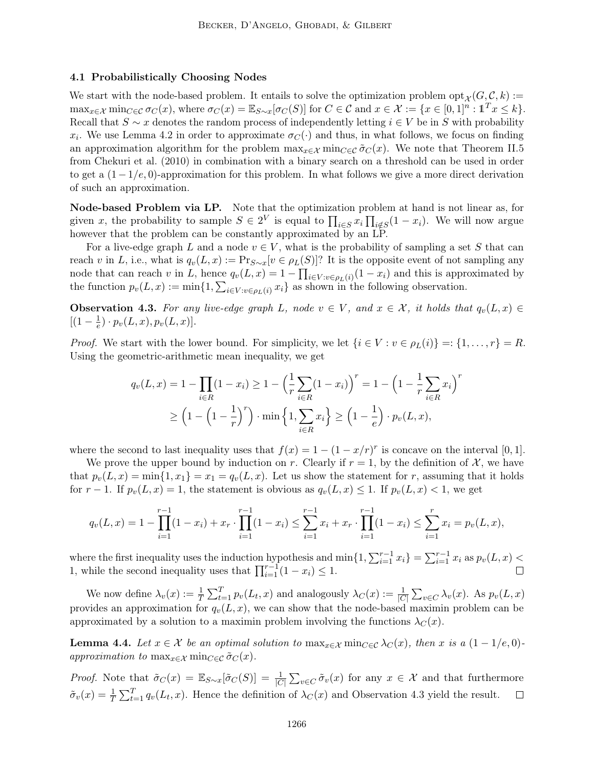### 4.1 Probabilistically Choosing Nodes

We start with the node-based problem. It entails to solve the optimization problem  $opt_{\mathcal{X}}(G, \mathcal{C}, k) :=$  $\max_{x \in \mathcal{X}} \min_{C \in \mathcal{C}} \sigma_C(x)$ , where  $\sigma_C(x) = \mathbb{E}_{S \sim x} [\sigma_C(S)]$  for  $C \in \mathcal{C}$  and  $x \in \mathcal{X} := \{x \in [0,1]^n : \mathbb{1}^T x \le k\}.$ Recall that  $S \sim x$  denotes the random process of independently letting  $i \in V$  be in S with probability  $x_i$ . We use Lemma 4.2 in order to approximate  $\sigma_C(\cdot)$  and thus, in what follows, we focus on finding an approximation algorithm for the problem  $\max_{x \in \mathcal{X}} \min_{C \in \mathcal{C}} \tilde{\sigma}_C(x)$ . We note that Theorem II.5 from Chekuri et al. (2010) in combination with a binary search on a threshold can be used in order to get a  $(1 - 1/e, 0)$ -approximation for this problem. In what follows we give a more direct derivation of such an approximation.

Node-based Problem via LP. Note that the optimization problem at hand is not linear as, for given x, the probability to sample  $S \in 2^V$  is equal to  $\prod_{i \in S} x_i \prod_{i \notin S} (1 - x_i)$ . We will now argue however that the problem can be constantly approximated by an LP.

For a live-edge graph L and a node  $v \in V$ , what is the probability of sampling a set S that can reach v in L, i.e., what is  $q_v(L, x) := \Pr_{S \sim x}[v \in \rho_L(S)]$ ? It is the opposite event of not sampling any node that can reach v in L, hence  $q_v(L, x) = 1 - \prod_{i \in V : v \in \rho_L(i)} (1 - x_i)$  and this is approximated by the function  $p_v(L, x) := \min\{1, \sum_{i \in V: v \in \rho_L(i)} x_i\}$  as shown in the following observation.

**Observation 4.3.** For any live-edge graph L, node  $v \in V$ , and  $x \in \mathcal{X}$ , it holds that  $q_v(L, x) \in$  $\left[ (1 - \frac{1}{e}) \right]$  $(\frac{1}{e})\cdot p_v(L,x), p_v(L,x)].$ 

*Proof.* We start with the lower bound. For simplicity, we let  $\{i \in V : v \in \rho_L(i)\} = \{1, \ldots, r\} = R$ . Using the geometric-arithmetic mean inequality, we get

$$
q_v(L, x) = 1 - \prod_{i \in R} (1 - x_i) \ge 1 - \left(\frac{1}{r} \sum_{i \in R} (1 - x_i)\right)^r = 1 - \left(1 - \frac{1}{r} \sum_{i \in R} x_i\right)^r
$$

$$
\ge \left(1 - \left(1 - \frac{1}{r}\right)^r\right) \cdot \min\left\{1, \sum_{i \in R} x_i\right\} \ge \left(1 - \frac{1}{e}\right) \cdot p_v(L, x),
$$

where the second to last inequality uses that  $f(x) = 1 - (1 - x/r)^r$  is concave on the interval [0, 1].

We prove the upper bound by induction on r. Clearly if  $r = 1$ , by the definition of X, we have that  $p_v(L, x) = \min\{1, x_1\} = x_1 = q_v(L, x)$ . Let us show the statement for r, assuming that it holds for  $r-1$ . If  $p_v(L, x) = 1$ , the statement is obvious as  $q_v(L, x) \leq 1$ . If  $p_v(L, x) < 1$ , we get

$$
q_v(L, x) = 1 - \prod_{i=1}^{r-1} (1 - x_i) + x_r \cdot \prod_{i=1}^{r-1} (1 - x_i) \le \sum_{i=1}^{r-1} x_i + x_r \cdot \prod_{i=1}^{r-1} (1 - x_i) \le \sum_{i=1}^{r} x_i = p_v(L, x),
$$

where the first inequality uses the induction hypothesis and  $\min\{1, \sum_{i=1}^{r-1} x_i\} = \sum_{i=1}^{r-1} x_i$  as  $p_v(L, x)$ 1, while the second inequality uses that  $\prod_{i=1}^{r-1} (1-x_i) \leq 1$ .

We now define  $\lambda_v(x) := \frac{1}{T} \sum_{t=1}^T p_v(L_t, x)$  and analogously  $\lambda_C(x) := \frac{1}{|C|} \sum_{v \in C} \lambda_v(x)$ . As  $p_v(L, x)$ provides an approximation for  $q_v(L, x)$ , we can show that the node-based maximin problem can be approximated by a solution to a maximin problem involving the functions  $\lambda_C(x)$ .

**Lemma 4.4.** Let  $x \in \mathcal{X}$  be an optimal solution to  $\max_{x \in \mathcal{X}} \min_{C \in \mathcal{C}} \lambda_C(x)$ , then x is a  $(1 - 1/e, 0)$ approximation to  $\max_{x \in \mathcal{X}} \min_{C \in \mathcal{C}} \tilde{\sigma}_C(x)$ .

*Proof.* Note that  $\tilde{\sigma}_C(x) = \mathbb{E}_{S \sim x} [\tilde{\sigma}_C(S)] = \frac{1}{|C|} \sum_{v \in C} \tilde{\sigma}_v(x)$  for any  $x \in \mathcal{X}$  and that furthermore  $\tilde{\sigma}_v(x) = \frac{1}{T} \sum_{t=1}^T q_v(L_t, x)$ . Hence the definition of  $\lambda_C(x)$  and Observation 4.3 yield the result.  $\Box$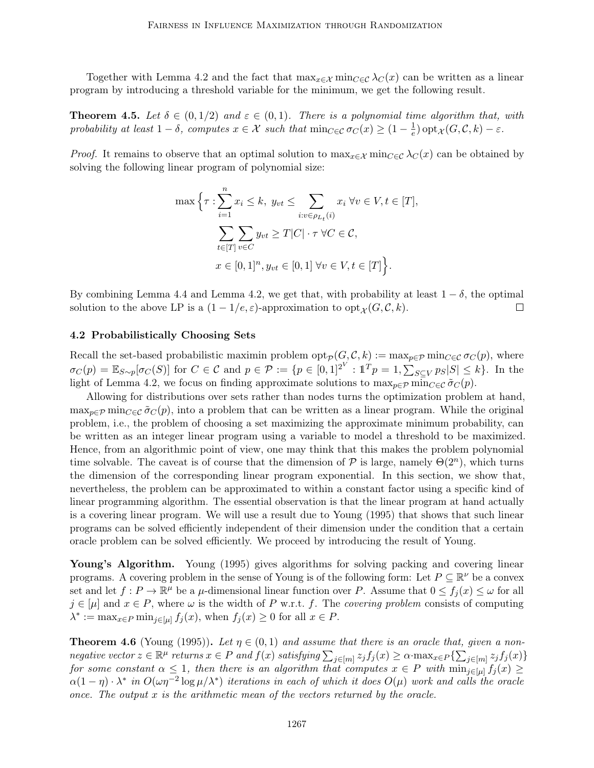Together with Lemma 4.2 and the fact that  $\max_{x \in \mathcal{X}} \min_{C \in \mathcal{C}} \lambda_C(x)$  can be written as a linear program by introducing a threshold variable for the minimum, we get the following result.

**Theorem 4.5.** Let  $\delta \in (0,1/2)$  and  $\varepsilon \in (0,1)$ . There is a polynomial time algorithm that, with probability at least  $1 - \delta$ , computes  $x \in \mathcal{X}$  such that  $\min_{C \in \mathcal{C}} \sigma_C(x) \geq (1 - \frac{1}{e})$  $\frac{1}{e})$  opt<sub> $\mathcal{X}(G,\mathcal{C},k) - \varepsilon$ .</sub>

*Proof.* It remains to observe that an optimal solution to  $\max_{x \in \mathcal{X}} \min_{C \in \mathcal{C}} \lambda_C(x)$  can be obtained by solving the following linear program of polynomial size:

$$
\max \Big\{\tau : \sum_{i=1}^{n} x_i \le k, \ y_{vt} \le \sum_{i:v \in \rho_{L_t}(i)} x_i \ \forall v \in V, t \in [T],
$$

$$
\sum_{t \in [T]} \sum_{v \in C} y_{vt} \ge T |C| \cdot \tau \ \forall C \in \mathcal{C},
$$

$$
x \in [0, 1]^n, y_{vt} \in [0, 1] \ \forall v \in V, t \in [T] \Big\}.
$$

By combining Lemma 4.4 and Lemma 4.2, we get that, with probability at least  $1 - \delta$ , the optimal solution to the above LP is a  $(1 - 1/e, \varepsilon)$ -approximation to  $\mathrm{opt}_{\mathcal{X}}(G, \mathcal{C}, k)$ .  $\Box$ 

## 4.2 Probabilistically Choosing Sets

Recall the set-based probabilistic maximin problem  $\text{opt}_{\mathcal{P}}(G, \mathcal{C}, k) := \max_{p \in \mathcal{P}} \min_{C \in \mathcal{C}} \sigma_C(p)$ , where  $\sigma_C(p) = \mathbb{E}_{S \sim p}[\sigma_C(S)]$  for  $C \in \mathcal{C}$  and  $p \in \mathcal{P} := \{p \in [0,1]^{2^V} : \mathbb{1}^T p = 1, \sum_{S \subseteq V} p_S |S| \leq k\}$ . In the light of Lemma 4.2, we focus on finding approximate solutions to  $\max_{p \in \mathcal{P}} \min_{C \in \mathcal{C}} \tilde{\sigma}_C(p)$ .

Allowing for distributions over sets rather than nodes turns the optimization problem at hand,  $\max_{p \in \mathcal{P}} \min_{C \in \mathcal{C}} \tilde{\sigma}_C(p)$ , into a problem that can be written as a linear program. While the original problem, i.e., the problem of choosing a set maximizing the approximate minimum probability, can be written as an integer linear program using a variable to model a threshold to be maximized. Hence, from an algorithmic point of view, one may think that this makes the problem polynomial time solvable. The caveat is of course that the dimension of  $P$  is large, namely  $\Theta(2^n)$ , which turns the dimension of the corresponding linear program exponential. In this section, we show that, nevertheless, the problem can be approximated to within a constant factor using a specific kind of linear programming algorithm. The essential observation is that the linear program at hand actually is a covering linear program. We will use a result due to Young (1995) that shows that such linear programs can be solved efficiently independent of their dimension under the condition that a certain oracle problem can be solved efficiently. We proceed by introducing the result of Young.

Young's Algorithm. Young (1995) gives algorithms for solving packing and covering linear programs. A covering problem in the sense of Young is of the following form: Let  $P \subseteq \mathbb{R}^{\nu}$  be a convex set and let  $f: P \to \mathbb{R}^{\mu}$  be a  $\mu$ -dimensional linear function over P. Assume that  $0 \le f_j(x) \le \omega$  for all  $j \in [\mu]$  and  $x \in P$ , where  $\omega$  is the width of P w.r.t. f. The covering problem consists of computing  $\lambda^* := \max_{x \in P} \min_{j \in [\mu]} f_j(x)$ , when  $f_j(x) \geq 0$  for all  $x \in P$ .

**Theorem 4.6** (Young (1995)). Let  $\eta \in (0,1)$  and assume that there is an oracle that, given a nonnegative vector  $z \in \mathbb{R}^{\mu}$  returns  $x \in P$  and  $f(x)$  satisfying  $\sum_{j \in [m]} z_j f_j(x) \geq \alpha \cdot \max_{x \in P} \{ \sum_{j \in [m]} z_j f_j(x) \}$ for some constant  $\alpha \leq 1$ , then there is an algorithm that computes  $x \in P$  with  $\min_{j \in [u]} f_j(x) \geq$  $\alpha(1-\eta)\cdot \lambda^*$  in  $O(\omega\eta^{-2}\log \mu/\lambda^*)$  iterations in each of which it does  $O(\mu)$  work and calls the oracle once. The output  $x$  is the arithmetic mean of the vectors returned by the oracle.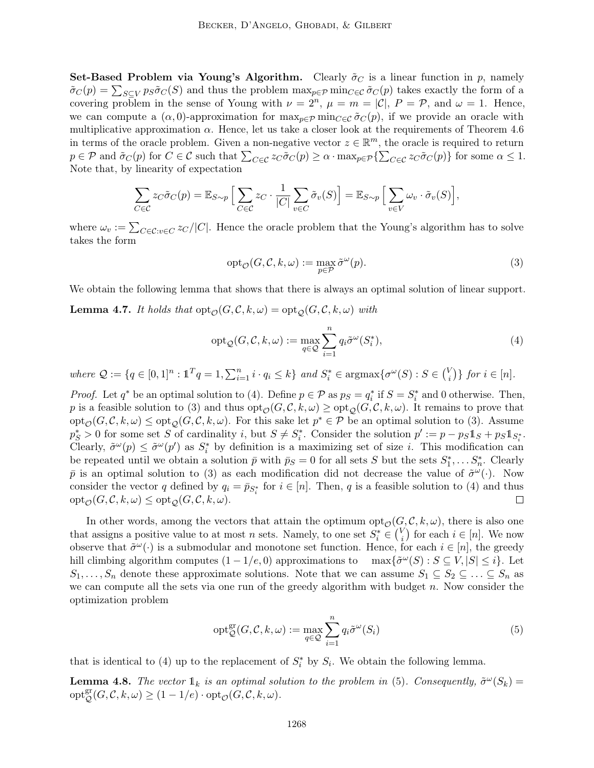**Set-Based Problem via Young's Algorithm.** Clearly  $\tilde{\sigma}_C$  is a linear function in p, namely  $\tilde{\sigma}_C(p) = \sum_{S \subseteq V} p_S \tilde{\sigma}_C(S)$  and thus the problem  $\max_{p \in \mathcal{P}} \min_{C \in \mathcal{C}} \tilde{\sigma}_C(p)$  takes exactly the form of a covering problem in the sense of Young with  $\nu = 2^n$ ,  $\mu = m = |\mathcal{C}|$ ,  $P = \mathcal{P}$ , and  $\omega = 1$ . Hence, we can compute a  $(\alpha, 0)$ -approximation for  $\max_{p \in \mathcal{P}} \min_{C \in \mathcal{C}} \tilde{\sigma}_C(p)$ , if we provide an oracle with multiplicative approximation  $\alpha$ . Hence, let us take a closer look at the requirements of Theorem 4.6 in terms of the oracle problem. Given a non-negative vector  $z \in \mathbb{R}^m$ , the oracle is required to return  $p \in \mathcal{P}$  and  $\tilde{\sigma}_C(p)$  for  $C \in \mathcal{C}$  such that  $\sum_{C \in \mathcal{C}} z_C \tilde{\sigma}_C(p) \geq \alpha \cdot \max_{p \in \mathcal{P}} \{\sum_{C \in \mathcal{C}} z_C \tilde{\sigma}_C(p)\}\)$  for some  $\alpha \leq 1$ . Note that, by linearity of expectation

$$
\sum_{C \in \mathcal{C}} z_C \tilde{\sigma}_C(p) = \mathbb{E}_{S \sim p} \Big[ \sum_{C \in \mathcal{C}} z_C \cdot \frac{1}{|C|} \sum_{v \in C} \tilde{\sigma}_v(S) \Big] = \mathbb{E}_{S \sim p} \Big[ \sum_{v \in V} \omega_v \cdot \tilde{\sigma}_v(S) \Big],
$$

where  $\omega_v := \sum_{C \in \mathcal{C}: v \in C} z_C / |C|$ . Hence the oracle problem that the Young's algorithm has to solve takes the form

$$
opt_{\mathcal{O}}(G, \mathcal{C}, k, \omega) := \max_{p \in \mathcal{P}} \tilde{\sigma}^{\omega}(p).
$$
\n(3)

We obtain the following lemma that shows that there is always an optimal solution of linear support.

**Lemma 4.7.** It holds that  $opt_{\mathcal{O}}(G, \mathcal{C}, k, \omega) = opt_{\mathcal{O}}(G, \mathcal{C}, k, \omega)$  with

$$
opt_{\mathcal{Q}}(G, \mathcal{C}, k, \omega) := \max_{q \in \mathcal{Q}} \sum_{i=1}^{n} q_i \tilde{\sigma}^{\omega}(S_i^*),
$$
\n(4)

where  $\mathcal{Q} := \{q \in [0,1]^n : \mathbb{1}^T q = 1, \sum_{i=1}^n i \cdot q_i \leq k\}$  and  $S_i^* \in \text{argmax}\{\sigma^{\omega}(S) : S \in {V_i \choose i} \}$  $\{i\}\}$  for  $i\in[n]$ .

*Proof.* Let  $q^*$  be an optimal solution to (4). Define  $p \in \mathcal{P}$  as  $p_S = q_i^*$  if  $S = S_i^*$  and 0 otherwise. Then, p is a feasible solution to (3) and thus  $\text{opt}_{\mathcal{O}}(G, \mathcal{C}, k, \omega) \geq \text{opt}_{\mathcal{O}}(G, \mathcal{C}, k, \omega)$ . It remains to prove that  $\text{opt}_{\mathcal{O}}(G,\mathcal{C},k,\omega) \leq \text{opt}_{\mathcal{Q}}(G,\mathcal{C},k,\omega)$ . For this sake let  $p^* \in \mathcal{P}$  be an optimal solution to (3). Assume  $p_S^* > 0$  for some set S of cardinality i, but  $S \neq S_i^*$ . Consider the solution  $p' := p - ps \mathbb{1}_S + ps \mathbb{1}_{S_i^*}$ . Clearly,  $\tilde{\sigma}^{\omega}(p) \leq \tilde{\sigma}^{\omega}(p')$  as  $S_i^*$  by definition is a maximizing set of size *i*. This modification can be repeated until we obtain a solution  $\bar{p}$  with  $\bar{p}_S = 0$  for all sets  $S$  but the sets  $S_1^*, \ldots S_n^*$ . Clearly  $\bar{p}$  is an optimal solution to (3) as each modification did not decrease the value of  $\tilde{\sigma}^{\omega}(\cdot)$ . Now consider the vector q defined by  $q_i = \bar{p}_{S_i^*}$  for  $i \in [n]$ . Then, q is a feasible solution to (4) and thus  $\mathrm{opt}_{\mathcal{O}}(G, \mathcal{C}, k, \omega) \leq \mathrm{opt}_{\mathcal{O}}(G, \mathcal{C}, k, \omega).$  $\Box$ 

In other words, among the vectors that attain the optimum  $\text{opt}_{\mathcal{O}}(G, \mathcal{C}, k, \omega)$ , there is also one that assigns a positive value to at most n sets. Namely, to one set  $S_i^* \in \binom{V_i}{i}$  $i \choose i$  for each  $i \in [n]$ . We now observe that  $\tilde{\sigma}^{\omega}(\cdot)$  is a submodular and monotone set function. Hence, for each  $i \in [n]$ , the greedy hill climbing algorithm computes  $(1 - 1/e, 0)$  approximations to  $\max{\{\tilde{\sigma}^{\omega}(S) : S \subseteq V, |S| \leq i\}}$ . Let  $S_1, \ldots, S_n$  denote these approximate solutions. Note that we can assume  $S_1 \subseteq S_2 \subseteq \ldots \subseteq S_n$  as we can compute all the sets via one run of the greedy algorithm with budget  $n$ . Now consider the optimization problem

$$
opt_{\mathcal{Q}}^{\text{gr}}(G, \mathcal{C}, k, \omega) := \max_{q \in \mathcal{Q}} \sum_{i=1}^{n} q_i \tilde{\sigma}^{\omega}(S_i)
$$
(5)

that is identical to (4) up to the replacement of  $S_i^*$  by  $S_i$ . We obtain the following lemma.

**Lemma 4.8.** The vector  $\mathbb{1}_k$  is an optimal solution to the problem in (5). Consequently,  $\tilde{\sigma}^{\omega}(S_k)$  =  $\mathrm{opt}_{\mathcal{Q}}^{\mathrm{gr}}(G,\mathcal{C},k,\omega) \ge (1-1/e) \cdot \mathrm{opt}_{\mathcal{O}}(G,\mathcal{C},k,\omega).$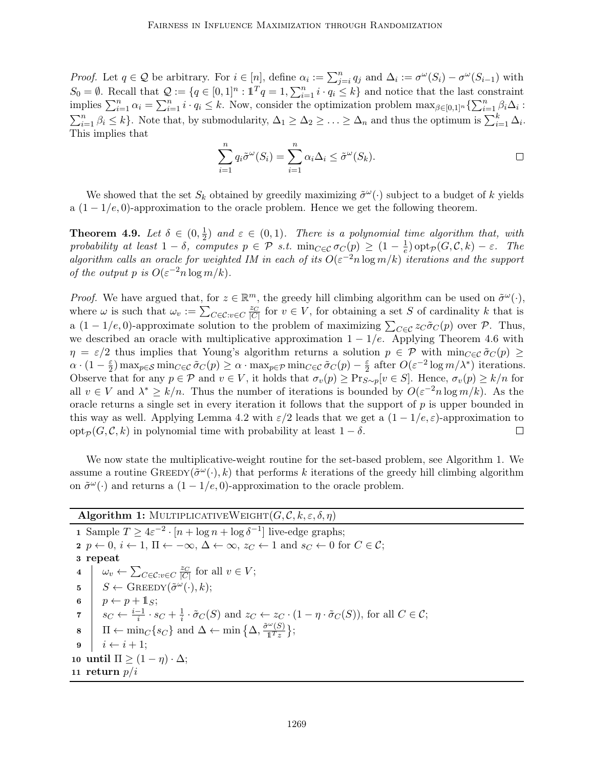*Proof.* Let  $q \in \mathcal{Q}$  be arbitrary. For  $i \in [n]$ , define  $\alpha_i := \sum_{j=i}^n q_j$  and  $\Delta_i := \sigma^{\omega}(S_i) - \sigma^{\omega}(S_{i-1})$  with  $S_0 = \emptyset$ . Recall that  $\mathcal{Q} := \{q \in [0,1]^n : \mathbb{1}^T q = 1, \sum_{i=1}^n i \cdot q_i \leq k\}$  and notice that the last constraint implies  $\sum_{i=1}^n \alpha_i = \sum_{i=1}^n i \cdot q_i \leq k$ . Now, consider the optimization problem  $\max_{\beta \in [0,1]^n} \{\sum_{i=1}^n \beta_i \Delta_i :$  $\sum_{i=1}^n \beta_i \leq k$ . Note that, by submodularity,  $\Delta_1 \geq \Delta_2 \geq \ldots \geq \Delta_n$  and thus the optimum is  $\sum_{i=1}^k \Delta_i$ . This implies that

$$
\sum_{i=1}^{n} q_i \tilde{\sigma}^{\omega}(S_i) = \sum_{i=1}^{n} \alpha_i \Delta_i \leq \tilde{\sigma}^{\omega}(S_k).
$$

We showed that the set  $S_k$  obtained by greedily maximizing  $\tilde{\sigma}^{\omega}(\cdot)$  subject to a budget of k yields a  $(1 - 1/e, 0)$ -approximation to the oracle problem. Hence we get the following theorem.

Theorem 4.9. Let  $\delta \in (0, \frac{1}{2})$  $\frac{1}{2}$  and  $\varepsilon \in (0,1)$ . There is a polynomial time algorithm that, with probability at least  $1 - \delta$ , computes  $p \in \mathcal{P}$  s.t.  $\min_{C \in \mathcal{C}} \sigma_C(p) \geq (1 - \frac{1}{e})$  $\frac{1}{e})$  opt<sub>p</sub> $(G, \mathcal{C}, k) - \varepsilon$ . The algorithm calls an oracle for weighted IM in each of its  $O(\varepsilon^{-2} n \log m/k)$  iterations and the support of the output p is  $O(\varepsilon^{-2} n \log m/k)$ .

*Proof.* We have argued that, for  $z \in \mathbb{R}^m$ , the greedy hill climbing algorithm can be used on  $\tilde{\sigma}^{\omega}(\cdot)$ , where  $\omega$  is such that  $\omega_v := \sum_{C \in \mathcal{C}: v \in C} \frac{z_C}{|C|}$  for  $v \in V$ , for obtaining a set S of cardinality k that is a  $(1-1/e, 0)$ -approximate solution to the problem of maximizing  $\sum_{C \in \mathcal{C}} z_C \tilde{\sigma}_C(p)$  over  $\mathcal{P}$ . Thus, we described an oracle with multiplicative approximation  $1 - 1/e$ . Applying Theorem 4.6 with  $\eta = \varepsilon/2$  thus implies that Young's algorithm returns a solution  $p \in \mathcal{P}$  with  $\min_{C \in \mathcal{C}} \tilde{\sigma}_C(p) \geq$  $\alpha \cdot (1 - \frac{\varepsilon}{2})$  $\frac{\varepsilon}{2}) \max_{p \in \mathcal{S}} \min_{C \in \mathcal{C}} \tilde{\sigma}_C(p) \ge \alpha \cdot \max_{p \in \mathcal{P}} \min_{C \in \mathcal{C}} \tilde{\sigma}_C(p) - \frac{\varepsilon}{2}$  $\frac{\varepsilon}{2}$  after  $O(\varepsilon^{-2} \log m/\lambda^*)$  iterations. Observe that for any  $p \in \mathcal{P}$  and  $v \in V$ , it holds that  $\sigma_v(p) \geq \Pr_{S \sim p}[v \in S]$ . Hence,  $\sigma_v(p) \geq k/n$  for all  $v \in V$  and  $\lambda^* \geq k/n$ . Thus the number of iterations is bounded by  $O(\varepsilon^{-2} n \log m/k)$ . As the oracle returns a single set in every iteration it follows that the support of  $p$  is upper bounded in this way as well. Applying Lemma 4.2 with  $\varepsilon/2$  leads that we get a  $(1 - 1/e, \varepsilon)$ -approximation to opt<sub>P</sub>( $G, \mathcal{C}, k$ ) in polynomial time with probability at least  $1 - \delta$ .  $\Box$ 

We now state the multiplicative-weight routine for the set-based problem, see Algorithm 1. We assume a routine  $\text{GREEDY}(\tilde{\sigma}^{\omega}(\cdot), k)$  that performs k iterations of the greedy hill climbing algorithm on  $\tilde{\sigma}^{\omega}(\cdot)$  and returns a  $(1-1/e, 0)$ -approximation to the oracle problem.

# Algorithm 1: MULTIPLICATIVEWEIGHT $(G, \mathcal{C}, k, \varepsilon, \delta, \eta)$

1 Sample  $T \geq 4\varepsilon^{-2} \cdot [n + \log n + \log \delta^{-1}]$  live-edge graphs; 2  $p \leftarrow 0, i \leftarrow 1, \Pi \leftarrow -\infty, \Delta \leftarrow \infty, z_C \leftarrow 1$  and  $s_C \leftarrow 0$  for  $C \in \mathcal{C}$ ; 3 repeat 4  $\omega_v \leftarrow \sum_{C \in \mathcal{C}: v \in C} \frac{z_C}{|C|}$  for all  $v \in V$ ; 5  $S \leftarrow$  GREEDY $(\tilde{\sigma}^{\omega}(\cdot), k);$ 6  $p \leftarrow p + 1_S;$ 7  $s_C \leftarrow \frac{i-1}{i} \cdot s_C + \frac{1}{i}$  $\frac{1}{i} \cdot \tilde{\sigma}_C(S)$  and  $z_C \leftarrow z_C \cdot (1 - \eta \cdot \tilde{\sigma}_C(S))$ , for all  $C \in \mathcal{C}$ ;  $\mathbf{s} \quad \overline{\mathbf{I}} \leftarrow \min_{C} \{s_C\} \text{ and } \Delta \leftarrow \min \{ \Delta, \frac{\tilde{\sigma}^{\omega}(S)}{\mathbf{I}^T z} \}$  $\frac{\pi(S)}{1^Tz}$ ;  $i \leftarrow i + 1;$ 10 until  $\Pi \geq (1 - \eta) \cdot \Delta$ ; 11 return  $p/i$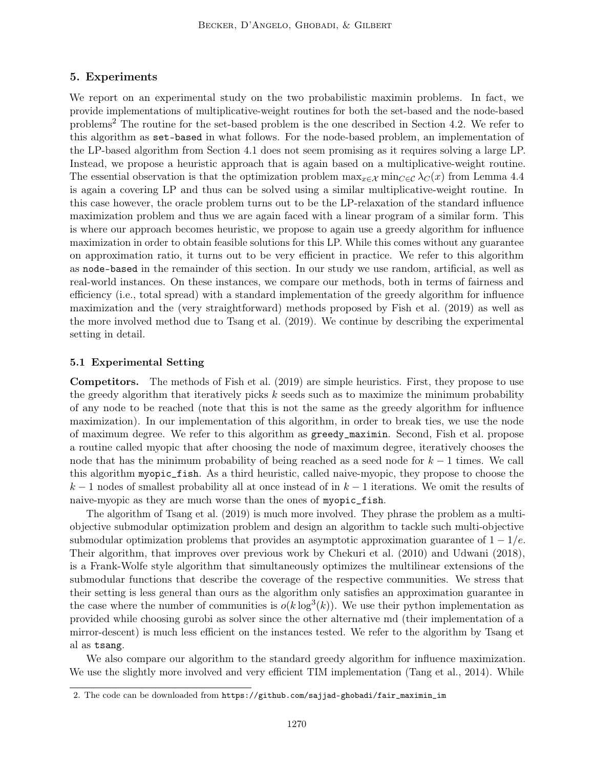## 5. Experiments

We report on an experimental study on the two probabilistic maximin problems. In fact, we provide implementations of multiplicative-weight routines for both the set-based and the node-based problems<sup>2</sup> The routine for the set-based problem is the one described in Section 4.2. We refer to this algorithm as set-based in what follows. For the node-based problem, an implementation of the LP-based algorithm from Section 4.1 does not seem promising as it requires solving a large LP. Instead, we propose a heuristic approach that is again based on a multiplicative-weight routine. The essential observation is that the optimization problem  $\max_{x \in \mathcal{X}} \min_{C \in \mathcal{C}} \lambda_C(x)$  from Lemma 4.4 is again a covering LP and thus can be solved using a similar multiplicative-weight routine. In this case however, the oracle problem turns out to be the LP-relaxation of the standard influence maximization problem and thus we are again faced with a linear program of a similar form. This is where our approach becomes heuristic, we propose to again use a greedy algorithm for influence maximization in order to obtain feasible solutions for this LP. While this comes without any guarantee on approximation ratio, it turns out to be very efficient in practice. We refer to this algorithm as node-based in the remainder of this section. In our study we use random, artificial, as well as real-world instances. On these instances, we compare our methods, both in terms of fairness and efficiency (i.e., total spread) with a standard implementation of the greedy algorithm for influence maximization and the (very straightforward) methods proposed by Fish et al. (2019) as well as the more involved method due to Tsang et al. (2019). We continue by describing the experimental setting in detail.

#### 5.1 Experimental Setting

Competitors. The methods of Fish et al. (2019) are simple heuristics. First, they propose to use the greedy algorithm that iteratively picks  $k$  seeds such as to maximize the minimum probability of any node to be reached (note that this is not the same as the greedy algorithm for influence maximization). In our implementation of this algorithm, in order to break ties, we use the node of maximum degree. We refer to this algorithm as greedy\_maximin. Second, Fish et al. propose a routine called myopic that after choosing the node of maximum degree, iteratively chooses the node that has the minimum probability of being reached as a seed node for  $k - 1$  times. We call this algorithm myopic\_fish. As a third heuristic, called naive-myopic, they propose to choose the  $k-1$  nodes of smallest probability all at once instead of in  $k-1$  iterations. We omit the results of naive-myopic as they are much worse than the ones of myopic\_fish.

The algorithm of Tsang et al. (2019) is much more involved. They phrase the problem as a multiobjective submodular optimization problem and design an algorithm to tackle such multi-objective submodular optimization problems that provides an asymptotic approximation guarantee of  $1 - 1/e$ . Their algorithm, that improves over previous work by Chekuri et al. (2010) and Udwani (2018), is a Frank-Wolfe style algorithm that simultaneously optimizes the multilinear extensions of the submodular functions that describe the coverage of the respective communities. We stress that their setting is less general than ours as the algorithm only satisfies an approximation guarantee in the case where the number of communities is  $o(k \log^3(k))$ . We use their python implementation as provided while choosing gurobi as solver since the other alternative md (their implementation of a mirror-descent) is much less efficient on the instances tested. We refer to the algorithm by Tsang et al as tsang.

We also compare our algorithm to the standard greedy algorithm for influence maximization. We use the slightly more involved and very efficient TIM implementation (Tang et al., 2014). While

<sup>2.</sup> The code can be downloaded from https://github.com/sajjad-ghobadi/fair\_maximin\_im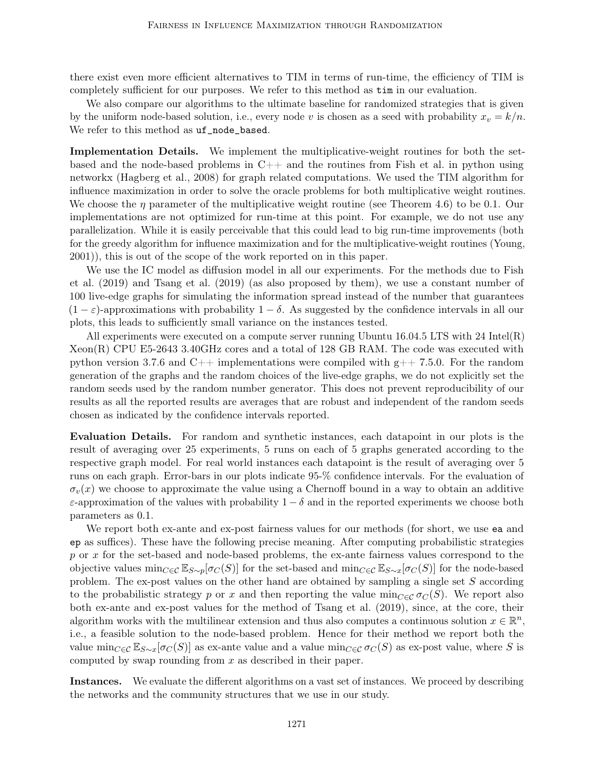there exist even more efficient alternatives to TIM in terms of run-time, the efficiency of TIM is completely sufficient for our purposes. We refer to this method as tim in our evaluation.

We also compare our algorithms to the ultimate baseline for randomized strategies that is given by the uniform node-based solution, i.e., every node v is chosen as a seed with probability  $x_v = k/n$ . We refer to this method as uf\_node\_based.

Implementation Details. We implement the multiplicative-weight routines for both the setbased and the node-based problems in  $C++$  and the routines from Fish et al. in python using networkx (Hagberg et al., 2008) for graph related computations. We used the TIM algorithm for influence maximization in order to solve the oracle problems for both multiplicative weight routines. We choose the  $\eta$  parameter of the multiplicative weight routine (see Theorem 4.6) to be 0.1. Our implementations are not optimized for run-time at this point. For example, we do not use any parallelization. While it is easily perceivable that this could lead to big run-time improvements (both for the greedy algorithm for influence maximization and for the multiplicative-weight routines (Young, 2001)), this is out of the scope of the work reported on in this paper.

We use the IC model as diffusion model in all our experiments. For the methods due to Fish et al. (2019) and Tsang et al. (2019) (as also proposed by them), we use a constant number of 100 live-edge graphs for simulating the information spread instead of the number that guarantees  $(1 - \varepsilon)$ -approximations with probability  $1 - \delta$ . As suggested by the confidence intervals in all our plots, this leads to sufficiently small variance on the instances tested.

All experiments were executed on a compute server running Ubuntu 16.04.5 LTS with 24 Intel(R) Xeon(R) CPU E5-2643 3.40GHz cores and a total of 128 GB RAM. The code was executed with python version 3.7.6 and  $C_{++}$  implementations were compiled with  $g_{++}$  7.5.0. For the random generation of the graphs and the random choices of the live-edge graphs, we do not explicitly set the random seeds used by the random number generator. This does not prevent reproducibility of our results as all the reported results are averages that are robust and independent of the random seeds chosen as indicated by the confidence intervals reported.

Evaluation Details. For random and synthetic instances, each datapoint in our plots is the result of averaging over 25 experiments, 5 runs on each of 5 graphs generated according to the respective graph model. For real world instances each datapoint is the result of averaging over 5 runs on each graph. Error-bars in our plots indicate 95-% confidence intervals. For the evaluation of  $\sigma_v(x)$  we choose to approximate the value using a Chernoff bound in a way to obtain an additive  $\varepsilon$ -approximation of the values with probability  $1 - \delta$  and in the reported experiments we choose both parameters as 0.1.

We report both ex-ante and ex-post fairness values for our methods (for short, we use ea and ep as suffices). These have the following precise meaning. After computing probabilistic strategies p or x for the set-based and node-based problems, the ex-ante fairness values correspond to the objective values  $\min_{C\in\mathcal{C}} \mathbb{E}_{S\sim p}[\sigma_C(S)]$  for the set-based and  $\min_{C\in\mathcal{C}} \mathbb{E}_{S\sim x}[\sigma_C(S)]$  for the node-based problem. The ex-post values on the other hand are obtained by sampling a single set S according to the probabilistic strategy p or x and then reporting the value  $\min_{C \in \mathcal{C}} \sigma_C(S)$ . We report also both ex-ante and ex-post values for the method of Tsang et al. (2019), since, at the core, their algorithm works with the multilinear extension and thus also computes a continuous solution  $x \in \mathbb{R}^n$ , i.e., a feasible solution to the node-based problem. Hence for their method we report both the value  $\min_{C\in\mathcal{C}} \mathbb{E}_{S\sim x}[\sigma_C(S)]$  as ex-ante value and a value  $\min_{C\in\mathcal{C}} \sigma_C(S)$  as ex-post value, where S is computed by swap rounding from  $x$  as described in their paper.

Instances. We evaluate the different algorithms on a vast set of instances. We proceed by describing the networks and the community structures that we use in our study.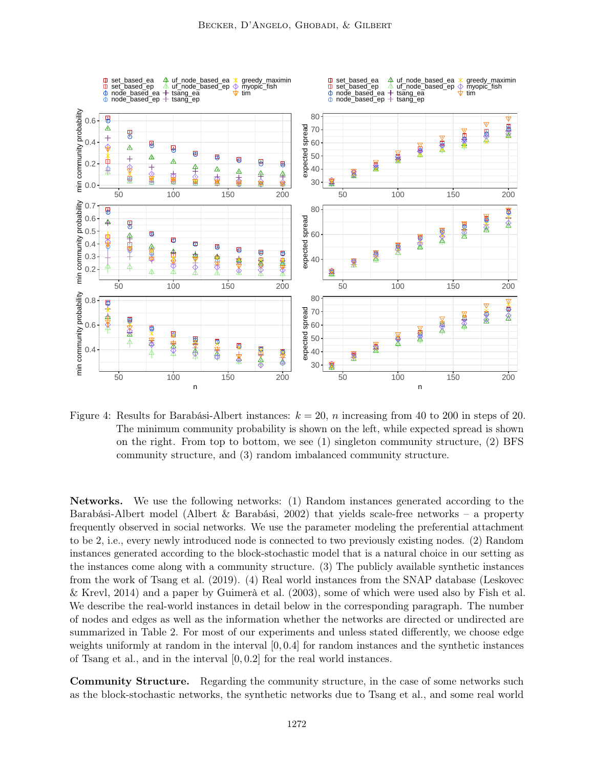

Figure 4: Results for Barabási-Albert instances:  $k = 20$ , n increasing from 40 to 200 in steps of 20. The minimum community probability is shown on the left, while expected spread is shown on the right. From top to bottom, we see (1) singleton community structure, (2) BFS community structure, and (3) random imbalanced community structure.

Networks. We use the following networks: (1) Random instances generated according to the Barabási-Albert model (Albert & Barabási, 2002) that yields scale-free networks – a property frequently observed in social networks. We use the parameter modeling the preferential attachment to be 2, i.e., every newly introduced node is connected to two previously existing nodes. (2) Random instances generated according to the block-stochastic model that is a natural choice in our setting as the instances come along with a community structure. (3) The publicly available synthetic instances from the work of Tsang et al. (2019). (4) Real world instances from the SNAP database (Leskovec & Krevl, 2014) and a paper by Guimerà et al. (2003), some of which were used also by Fish et al. We describe the real-world instances in detail below in the corresponding paragraph. The number of nodes and edges as well as the information whether the networks are directed or undirected are summarized in Table 2. For most of our experiments and unless stated differently, we choose edge weights uniformly at random in the interval [0, 0.4] for random instances and the synthetic instances of Tsang et al., and in the interval [0, 0.2] for the real world instances.

Community Structure. Regarding the community structure, in the case of some networks such as the block-stochastic networks, the synthetic networks due to Tsang et al., and some real world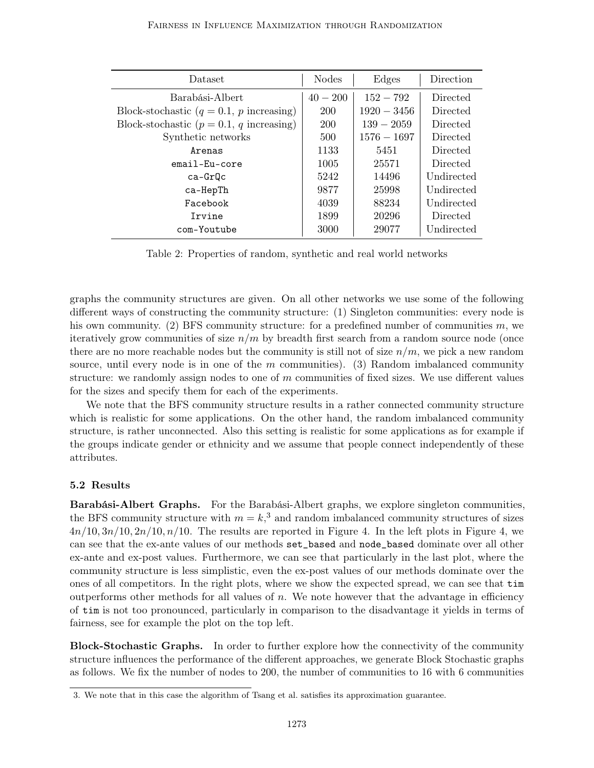| Dataset                                            | <b>Nodes</b> | Edges         | Direction  |
|----------------------------------------------------|--------------|---------------|------------|
| Barabási-Albert                                    | $40 - 200$   | $152 - 792$   | Directed   |
| Block-stochastic $(q = 0.1, p \text{ increasing})$ | <b>200</b>   | $1920 - 3456$ | Directed   |
| Block-stochastic $(p = 0.1, q \text{ increasing})$ | <b>200</b>   | $139 - 2059$  | Directed   |
| Synthetic networks                                 | 500          | $1576 - 1697$ | Directed   |
| Arenas                                             | 1133         | 5451          | Directed   |
| $email-Fu-cone$                                    | 1005         | 25571         | Directed   |
| ca-GrQc                                            | 5242         | 14496         | Undirected |
| ca-HepTh                                           | 9877         | 25998         | Undirected |
| Facebook                                           | 4039         | 88234         | Undirected |
| <b>Tryine</b>                                      | 1899         | 20296         | Directed   |
| com-Youtube                                        | 3000         | 29077         | Undirected |

Table 2: Properties of random, synthetic and real world networks

graphs the community structures are given. On all other networks we use some of the following different ways of constructing the community structure: (1) Singleton communities: every node is his own community. (2) BFS community structure: for a predefined number of communities  $m$ , we iteratively grow communities of size  $n/m$  by breadth first search from a random source node (once there are no more reachable nodes but the community is still not of size  $n/m$ , we pick a new random source, until every node is in one of the  $m$  communities). (3) Random imbalanced community structure: we randomly assign nodes to one of  $m$  communities of fixed sizes. We use different values for the sizes and specify them for each of the experiments.

We note that the BFS community structure results in a rather connected community structure which is realistic for some applications. On the other hand, the random imbalanced community structure, is rather unconnected. Also this setting is realistic for some applications as for example if the groups indicate gender or ethnicity and we assume that people connect independently of these attributes.

## 5.2 Results

Barabási-Albert Graphs. For the Barabási-Albert graphs, we explore singleton communities, the BFS community structure with  $m = k<sup>3</sup>$ , and random imbalanced community structures of sizes  $4n/10, 3n/10, 2n/10, n/10$ . The results are reported in Figure 4. In the left plots in Figure 4, we can see that the ex-ante values of our methods set\_based and node\_based dominate over all other ex-ante and ex-post values. Furthermore, we can see that particularly in the last plot, where the community structure is less simplistic, even the ex-post values of our methods dominate over the ones of all competitors. In the right plots, where we show the expected spread, we can see that tim outperforms other methods for all values of  $n$ . We note however that the advantage in efficiency of tim is not too pronounced, particularly in comparison to the disadvantage it yields in terms of fairness, see for example the plot on the top left.

Block-Stochastic Graphs. In order to further explore how the connectivity of the community structure influences the performance of the different approaches, we generate Block Stochastic graphs as follows. We fix the number of nodes to 200, the number of communities to 16 with 6 communities

<sup>3.</sup> We note that in this case the algorithm of Tsang et al. satisfies its approximation guarantee.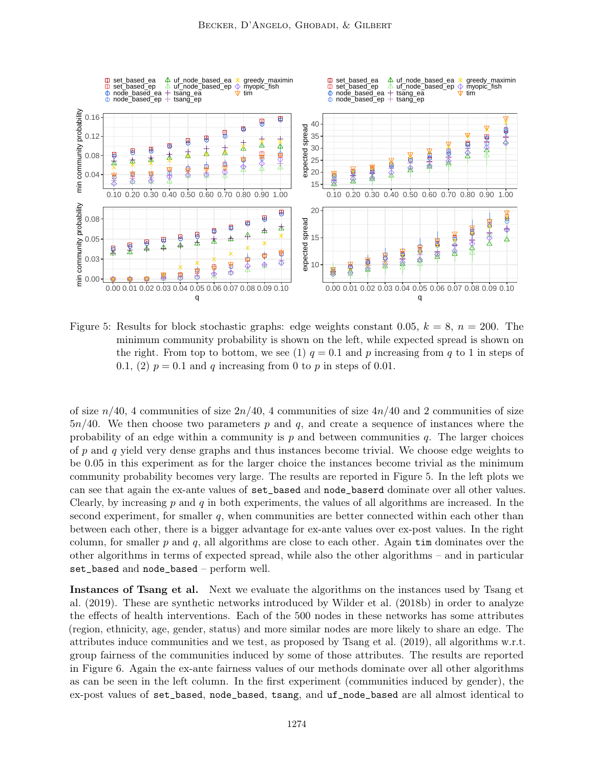

Figure 5: Results for block stochastic graphs: edge weights constant 0.05,  $k = 8$ ,  $n = 200$ . The minimum community probability is shown on the left, while expected spread is shown on the right. From top to bottom, we see (1)  $q = 0.1$  and p increasing from q to 1 in steps of 0.1, (2)  $p = 0.1$  and q increasing from 0 to p in steps of 0.01.

of size  $n/40$ , 4 communities of size  $2n/40$ , 4 communities of size  $4n/40$  and 2 communities of size  $5n/40$ . We then choose two parameters p and q, and create a sequence of instances where the probability of an edge within a community is  $p$  and between communities  $q$ . The larger choices of  $p$  and  $q$  yield very dense graphs and thus instances become trivial. We choose edge weights to be 0.05 in this experiment as for the larger choice the instances become trivial as the minimum community probability becomes very large. The results are reported in Figure 5. In the left plots we can see that again the ex-ante values of set\_based and node\_baserd dominate over all other values. Clearly, by increasing  $p$  and  $q$  in both experiments, the values of all algorithms are increased. In the second experiment, for smaller  $q$ , when communities are better connected within each other than between each other, there is a bigger advantage for ex-ante values over ex-post values. In the right column, for smaller  $p$  and  $q$ , all algorithms are close to each other. Again  $\tan$  dominates over the other algorithms in terms of expected spread, while also the other algorithms – and in particular set\_based and node\_based – perform well.

Instances of Tsang et al. Next we evaluate the algorithms on the instances used by Tsang et al. (2019). These are synthetic networks introduced by Wilder et al. (2018b) in order to analyze the effects of health interventions. Each of the 500 nodes in these networks has some attributes (region, ethnicity, age, gender, status) and more similar nodes are more likely to share an edge. The attributes induce communities and we test, as proposed by Tsang et al. (2019), all algorithms w.r.t. group fairness of the communities induced by some of those attributes. The results are reported in Figure 6. Again the ex-ante fairness values of our methods dominate over all other algorithms as can be seen in the left column. In the first experiment (communities induced by gender), the ex-post values of set\_based, node\_based, tsang, and uf\_node\_based are all almost identical to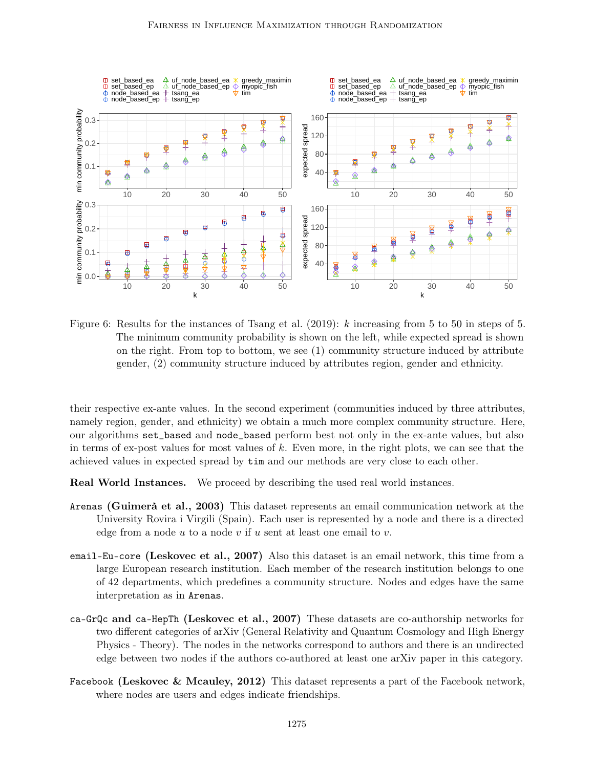

Figure 6: Results for the instances of Tsang et al. (2019): k increasing from 5 to 50 in steps of 5. The minimum community probability is shown on the left, while expected spread is shown on the right. From top to bottom, we see (1) community structure induced by attribute gender, (2) community structure induced by attributes region, gender and ethnicity.

their respective ex-ante values. In the second experiment (communities induced by three attributes, namely region, gender, and ethnicity) we obtain a much more complex community structure. Here, our algorithms set\_based and node\_based perform best not only in the ex-ante values, but also in terms of ex-post values for most values of k. Even more, in the right plots, we can see that the achieved values in expected spread by tim and our methods are very close to each other.

Real World Instances. We proceed by describing the used real world instances.

- Arenas (Guimerà et al., 2003) This dataset represents an email communication network at the University Rovira i Virgili (Spain). Each user is represented by a node and there is a directed edge from a node  $u$  to a node  $v$  if  $u$  sent at least one email to  $v$ .
- email-Eu-core (Leskovec et al., 2007) Also this dataset is an email network, this time from a large European research institution. Each member of the research institution belongs to one of 42 departments, which predefines a community structure. Nodes and edges have the same interpretation as in Arenas.
- ca-GrQc and ca-HepTh (Leskovec et al., 2007) These datasets are co-authorship networks for two different categories of arXiv (General Relativity and Quantum Cosmology and High Energy Physics - Theory). The nodes in the networks correspond to authors and there is an undirected edge between two nodes if the authors co-authored at least one arXiv paper in this category.
- Facebook (Leskovec & Mcauley, 2012) This dataset represents a part of the Facebook network, where nodes are users and edges indicate friendships.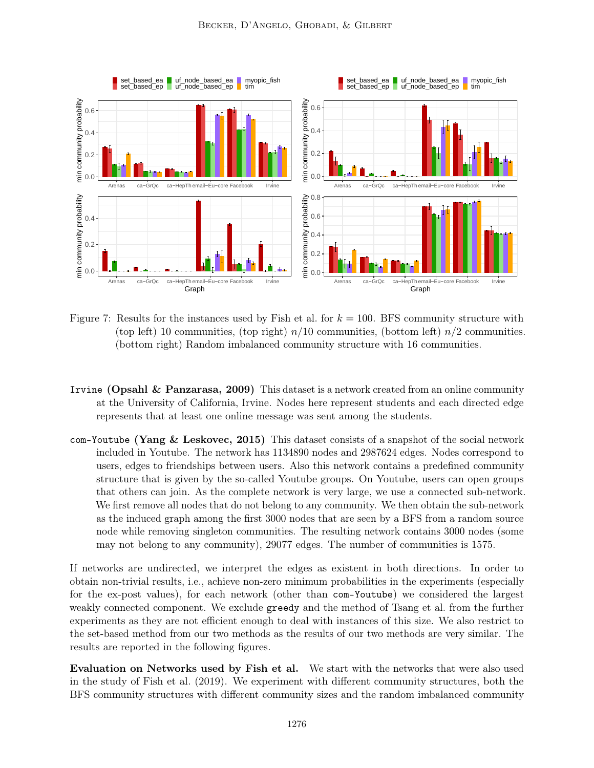

- Figure 7: Results for the instances used by Fish et al. for  $k = 100$ . BFS community structure with (top left) 10 communities, (top right)  $n/10$  communities, (bottom left)  $n/2$  communities. (bottom right) Random imbalanced community structure with 16 communities.
- Irvine (Opsahl & Panzarasa, 2009) This dataset is a network created from an online community at the University of California, Irvine. Nodes here represent students and each directed edge represents that at least one online message was sent among the students.
- com-Youtube (Yang & Leskovec, 2015) This dataset consists of a snapshot of the social network included in Youtube. The network has 1134890 nodes and 2987624 edges. Nodes correspond to users, edges to friendships between users. Also this network contains a predefined community structure that is given by the so-called Youtube groups. On Youtube, users can open groups that others can join. As the complete network is very large, we use a connected sub-network. We first remove all nodes that do not belong to any community. We then obtain the sub-network as the induced graph among the first 3000 nodes that are seen by a BFS from a random source node while removing singleton communities. The resulting network contains 3000 nodes (some may not belong to any community), 29077 edges. The number of communities is 1575.

If networks are undirected, we interpret the edges as existent in both directions. In order to obtain non-trivial results, i.e., achieve non-zero minimum probabilities in the experiments (especially for the ex-post values), for each network (other than com-Youtube) we considered the largest weakly connected component. We exclude greedy and the method of Tsang et al. from the further experiments as they are not efficient enough to deal with instances of this size. We also restrict to the set-based method from our two methods as the results of our two methods are very similar. The results are reported in the following figures.

Evaluation on Networks used by Fish et al. We start with the networks that were also used in the study of Fish et al. (2019). We experiment with different community structures, both the BFS community structures with different community sizes and the random imbalanced community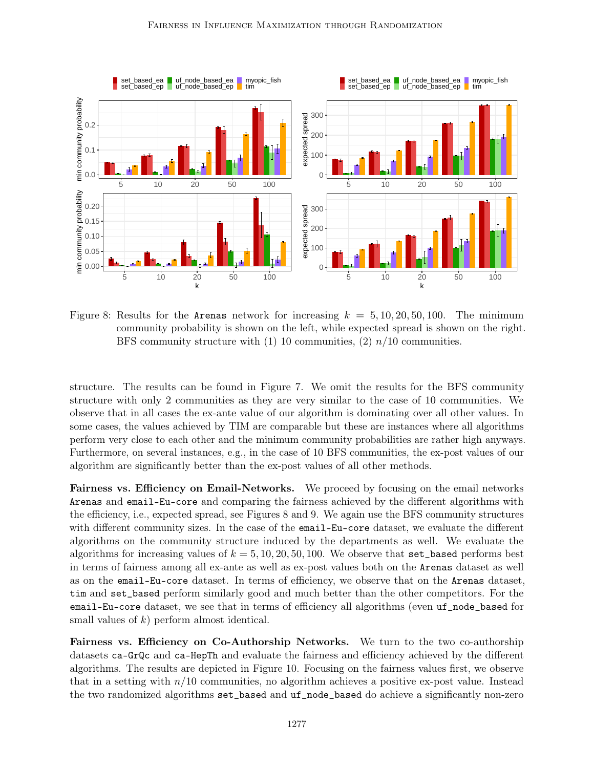

Figure 8: Results for the Arenas network for increasing  $k = 5, 10, 20, 50, 100$ . The minimum community probability is shown on the left, while expected spread is shown on the right. BFS community structure with  $(1)$  10 communities,  $(2)$   $n/10$  communities.

structure. The results can be found in Figure 7. We omit the results for the BFS community structure with only 2 communities as they are very similar to the case of 10 communities. We observe that in all cases the ex-ante value of our algorithm is dominating over all other values. In some cases, the values achieved by TIM are comparable but these are instances where all algorithms perform very close to each other and the minimum community probabilities are rather high anyways. Furthermore, on several instances, e.g., in the case of 10 BFS communities, the ex-post values of our algorithm are significantly better than the ex-post values of all other methods.

Fairness vs. Efficiency on Email-Networks. We proceed by focusing on the email networks Arenas and email-Eu-core and comparing the fairness achieved by the different algorithms with the efficiency, i.e., expected spread, see Figures 8 and 9. We again use the BFS community structures with different community sizes. In the case of the **email-Eu-core** dataset, we evaluate the different algorithms on the community structure induced by the departments as well. We evaluate the algorithms for increasing values of  $k = 5, 10, 20, 50, 100$ . We observe that set\_based performs best in terms of fairness among all ex-ante as well as ex-post values both on the Arenas dataset as well as on the email-Eu-core dataset. In terms of efficiency, we observe that on the Arenas dataset, tim and set\_based perform similarly good and much better than the other competitors. For the email-Eu-core dataset, we see that in terms of efficiency all algorithms (even uf\_node\_based for small values of k) perform almost identical.

Fairness vs. Efficiency on Co-Authorship Networks. We turn to the two co-authorship datasets ca-GrQc and ca-HepTh and evaluate the fairness and efficiency achieved by the different algorithms. The results are depicted in Figure 10. Focusing on the fairness values first, we observe that in a setting with  $n/10$  communities, no algorithm achieves a positive ex-post value. Instead the two randomized algorithms set\_based and uf\_node\_based do achieve a significantly non-zero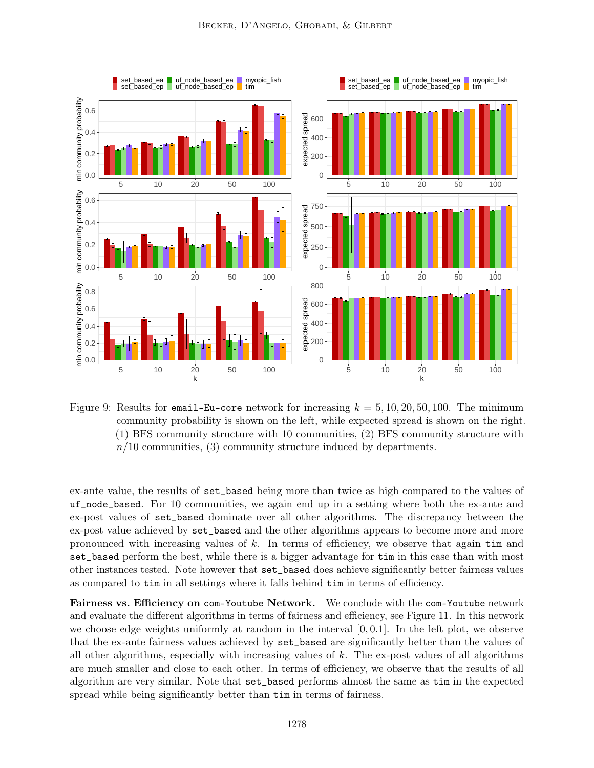

Figure 9: Results for email-Eu-core network for increasing  $k = 5, 10, 20, 50, 100$ . The minimum community probability is shown on the left, while expected spread is shown on the right. (1) BFS community structure with 10 communities, (2) BFS community structure with  $n/10$  communities, (3) community structure induced by departments.

ex-ante value, the results of set\_based being more than twice as high compared to the values of uf\_node\_based. For 10 communities, we again end up in a setting where both the ex-ante and ex-post values of set\_based dominate over all other algorithms. The discrepancy between the ex-post value achieved by set\_based and the other algorithms appears to become more and more pronounced with increasing values of  $k$ . In terms of efficiency, we observe that again  $\tan$  and set\_based perform the best, while there is a bigger advantage for tim in this case than with most other instances tested. Note however that set\_based does achieve significantly better fairness values as compared to tim in all settings where it falls behind tim in terms of efficiency.

Fairness vs. Efficiency on com-Youtube Network. We conclude with the com-Youtube network and evaluate the different algorithms in terms of fairness and efficiency, see Figure 11. In this network we choose edge weights uniformly at random in the interval  $[0, 0.1]$ . In the left plot, we observe that the ex-ante fairness values achieved by set\_based are significantly better than the values of all other algorithms, especially with increasing values of  $k$ . The ex-post values of all algorithms are much smaller and close to each other. In terms of efficiency, we observe that the results of all algorithm are very similar. Note that set\_based performs almost the same as tim in the expected spread while being significantly better than tim in terms of fairness.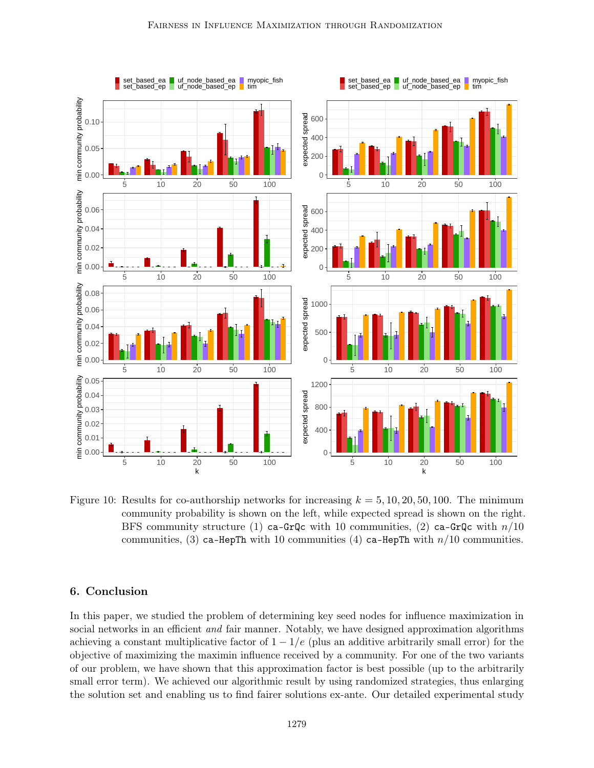

Figure 10: Results for co-authorship networks for increasing  $k = 5, 10, 20, 50, 100$ . The minimum community probability is shown on the left, while expected spread is shown on the right. BFS community structure (1) ca-GrQc with 10 communities, (2) ca-GrQc with  $n/10$ communities, (3) ca-HepTh with 10 communities (4) ca-HepTh with  $n/10$  communities.

# 6. Conclusion

In this paper, we studied the problem of determining key seed nodes for influence maximization in social networks in an efficient *and* fair manner. Notably, we have designed approximation algorithms achieving a constant multiplicative factor of  $1 - 1/e$  (plus an additive arbitrarily small error) for the objective of maximizing the maximin influence received by a community. For one of the two variants of our problem, we have shown that this approximation factor is best possible (up to the arbitrarily small error term). We achieved our algorithmic result by using randomized strategies, thus enlarging the solution set and enabling us to find fairer solutions ex-ante. Our detailed experimental study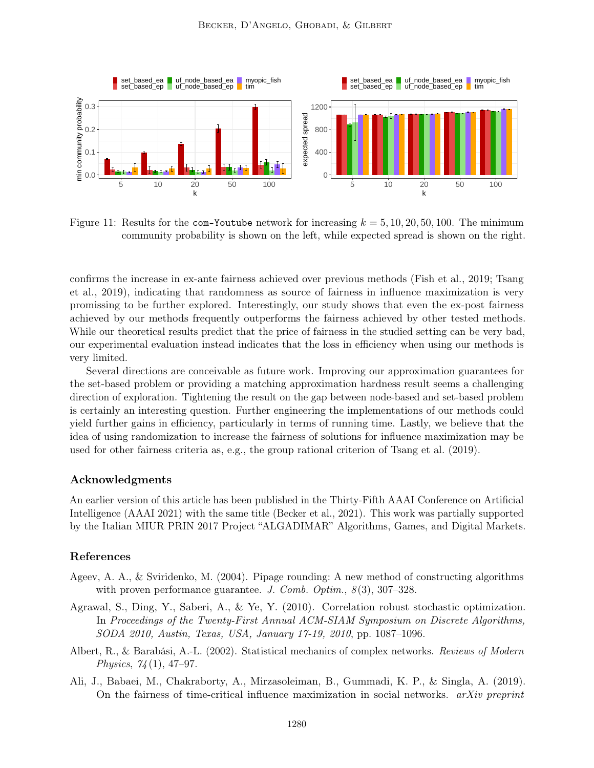

Figure 11: Results for the com-Youtube network for increasing  $k = 5, 10, 20, 50, 100$ . The minimum community probability is shown on the left, while expected spread is shown on the right.

confirms the increase in ex-ante fairness achieved over previous methods (Fish et al., 2019; Tsang et al., 2019), indicating that randomness as source of fairness in influence maximization is very promissing to be further explored. Interestingly, our study shows that even the ex-post fairness achieved by our methods frequently outperforms the fairness achieved by other tested methods. While our theoretical results predict that the price of fairness in the studied setting can be very bad, our experimental evaluation instead indicates that the loss in efficiency when using our methods is very limited.

Several directions are conceivable as future work. Improving our approximation guarantees for the set-based problem or providing a matching approximation hardness result seems a challenging direction of exploration. Tightening the result on the gap between node-based and set-based problem is certainly an interesting question. Further engineering the implementations of our methods could yield further gains in efficiency, particularly in terms of running time. Lastly, we believe that the idea of using randomization to increase the fairness of solutions for influence maximization may be used for other fairness criteria as, e.g., the group rational criterion of Tsang et al. (2019).

## Acknowledgments

An earlier version of this article has been published in the Thirty-Fifth AAAI Conference on Artificial Intelligence (AAAI 2021) with the same title (Becker et al., 2021). This work was partially supported by the Italian MIUR PRIN 2017 Project "ALGADIMAR" Algorithms, Games, and Digital Markets.

# References

- Ageev, A. A., & Sviridenko, M. (2004). Pipage rounding: A new method of constructing algorithms with proven performance guarantee. J. Comb. Optim.,  $8(3)$ , 307–328.
- Agrawal, S., Ding, Y., Saberi, A., & Ye, Y. (2010). Correlation robust stochastic optimization. In Proceedings of the Twenty-First Annual ACM-SIAM Symposium on Discrete Algorithms, SODA 2010, Austin, Texas, USA, January 17-19, 2010, pp. 1087–1096.
- Albert, R., & Barabási, A.-L. (2002). Statistical mechanics of complex networks. Reviews of Modern Physics,  $74(1)$ , 47-97.
- Ali, J., Babaei, M., Chakraborty, A., Mirzasoleiman, B., Gummadi, K. P., & Singla, A. (2019). On the fairness of time-critical influence maximization in social networks.  $arXiv$  preprint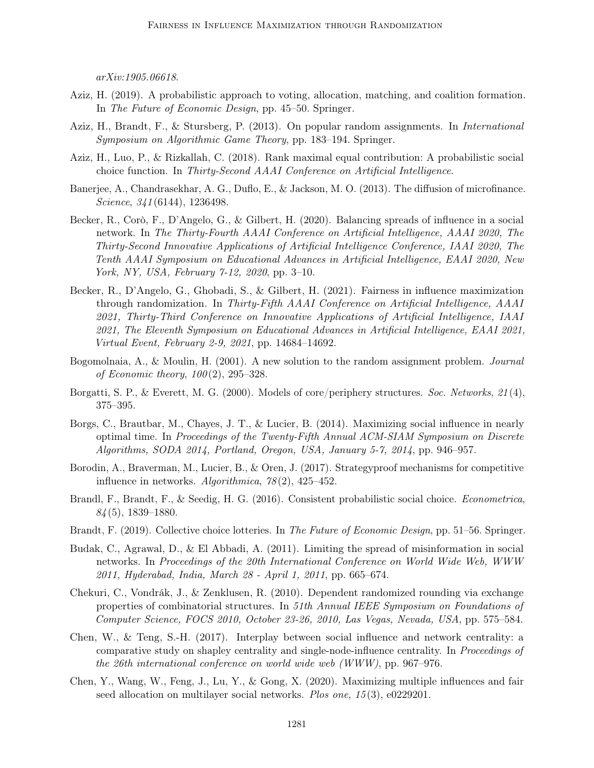arXiv:1905.06618.

- Aziz, H. (2019). A probabilistic approach to voting, allocation, matching, and coalition formation. In The Future of Economic Design, pp. 45–50. Springer.
- Aziz, H., Brandt, F., & Stursberg, P. (2013). On popular random assignments. In International Symposium on Algorithmic Game Theory, pp. 183–194. Springer.
- Aziz, H., Luo, P., & Rizkallah, C. (2018). Rank maximal equal contribution: A probabilistic social choice function. In Thirty-Second AAAI Conference on Artificial Intelligence.
- Banerjee, A., Chandrasekhar, A. G., Duflo, E., & Jackson, M. O. (2013). The diffusion of microfinance. Science, 341(6144), 1236498.
- Becker, R., Corò, F., D'Angelo, G., & Gilbert, H. (2020). Balancing spreads of influence in a social network. In The Thirty-Fourth AAAI Conference on Artificial Intelligence, AAAI 2020, The Thirty-Second Innovative Applications of Artificial Intelligence Conference, IAAI 2020, The Tenth AAAI Symposium on Educational Advances in Artificial Intelligence, EAAI 2020, New York, NY, USA, February 7-12, 2020, pp. 3–10.
- Becker, R., D'Angelo, G., Ghobadi, S., & Gilbert, H. (2021). Fairness in influence maximization through randomization. In Thirty-Fifth AAAI Conference on Artificial Intelligence, AAAI 2021, Thirty-Third Conference on Innovative Applications of Artificial Intelligence, IAAI 2021, The Eleventh Symposium on Educational Advances in Artificial Intelligence, EAAI 2021, Virtual Event, February 2-9, 2021, pp. 14684–14692.
- Bogomolnaia, A., & Moulin, H. (2001). A new solution to the random assignment problem. Journal of Economic theory,  $100(2)$ ,  $295-328$ .
- Borgatti, S. P., & Everett, M. G. (2000). Models of core/periphery structures. Soc. Networks, 21 (4), 375–395.
- Borgs, C., Brautbar, M., Chayes, J. T., & Lucier, B. (2014). Maximizing social influence in nearly optimal time. In Proceedings of the Twenty-Fifth Annual ACM-SIAM Symposium on Discrete Algorithms, SODA 2014, Portland, Oregon, USA, January 5-7, 2014, pp. 946–957.
- Borodin, A., Braverman, M., Lucier, B., & Oren, J. (2017). Strategyproof mechanisms for competitive influence in networks. Algorithmica,  $78(2)$ ,  $425-452$ .
- Brandl, F., Brandt, F., & Seedig, H. G. (2016). Consistent probabilistic social choice. Econometrica,  $84(5)$ , 1839–1880.
- Brandt, F. (2019). Collective choice lotteries. In The Future of Economic Design, pp. 51–56. Springer.
- Budak, C., Agrawal, D., & El Abbadi, A. (2011). Limiting the spread of misinformation in social networks. In Proceedings of the 20th International Conference on World Wide Web, WWW 2011, Hyderabad, India, March 28 - April 1, 2011, pp. 665–674.
- Chekuri, C., Vondrák, J., & Zenklusen, R. (2010). Dependent randomized rounding via exchange properties of combinatorial structures. In 51th Annual IEEE Symposium on Foundations of Computer Science, FOCS 2010, October 23-26, 2010, Las Vegas, Nevada, USA, pp. 575–584.
- Chen, W., & Teng, S.-H. (2017). Interplay between social influence and network centrality: a comparative study on shapley centrality and single-node-influence centrality. In Proceedings of the 26th international conference on world wide web (WWW), pp. 967–976.
- Chen, Y., Wang, W., Feng, J., Lu, Y., & Gong, X. (2020). Maximizing multiple influences and fair seed allocation on multilayer social networks. Plos one, 15 (3), e0229201.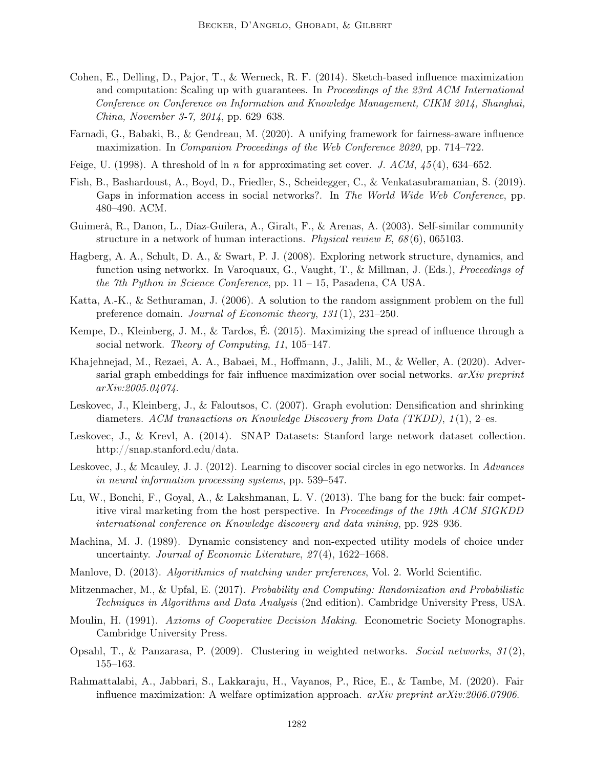- Cohen, E., Delling, D., Pajor, T., & Werneck, R. F. (2014). Sketch-based influence maximization and computation: Scaling up with guarantees. In Proceedings of the 23rd ACM International Conference on Conference on Information and Knowledge Management, CIKM 2014, Shanghai, China, November 3-7, 2014, pp. 629–638.
- Farnadi, G., Babaki, B., & Gendreau, M. (2020). A unifying framework for fairness-aware influence maximization. In Companion Proceedings of the Web Conference 2020, pp. 714–722.
- Feige, U. (1998). A threshold of ln n for approximating set cover. J.  $ACM$ ,  $45(4)$ , 634–652.
- Fish, B., Bashardoust, A., Boyd, D., Friedler, S., Scheidegger, C., & Venkatasubramanian, S. (2019). Gaps in information access in social networks?. In The World Wide Web Conference, pp. 480–490. ACM.
- Guimerà, R., Danon, L., Díaz-Guilera, A., Giralt, F., & Arenas, A. (2003). Self-similar community structure in a network of human interactions. Physical review E,  $68(6)$ , 065103.
- Hagberg, A. A., Schult, D. A., & Swart, P. J. (2008). Exploring network structure, dynamics, and function using networkx. In Varoquaux, G., Vaught, T., & Millman, J. (Eds.), Proceedings of the 7th Python in Science Conference, pp.  $11 - 15$ , Pasadena, CA USA.
- Katta, A.-K., & Sethuraman, J. (2006). A solution to the random assignment problem on the full preference domain. Journal of Economic theory, 131(1), 231-250.
- Kempe, D., Kleinberg, J. M., & Tardos, É. (2015). Maximizing the spread of influence through a social network. Theory of Computing, 11, 105–147.
- Khajehnejad, M., Rezaei, A. A., Babaei, M., Hoffmann, J., Jalili, M., & Weller, A. (2020). Adversarial graph embeddings for fair influence maximization over social networks.  $arXiv$  preprint arXiv:2005.04074.
- Leskovec, J., Kleinberg, J., & Faloutsos, C. (2007). Graph evolution: Densification and shrinking diameters. ACM transactions on Knowledge Discovery from Data (TKDD),  $1(1)$ , 2–es.
- Leskovec, J., & Krevl, A. (2014). SNAP Datasets: Stanford large network dataset collection. http://snap.stanford.edu/data.
- Leskovec, J., & Mcauley, J. J. (2012). Learning to discover social circles in ego networks. In Advances in neural information processing systems, pp. 539–547.
- Lu, W., Bonchi, F., Goyal, A., & Lakshmanan, L. V. (2013). The bang for the buck: fair competitive viral marketing from the host perspective. In Proceedings of the 19th ACM SIGKDD international conference on Knowledge discovery and data mining, pp. 928–936.
- Machina, M. J. (1989). Dynamic consistency and non-expected utility models of choice under uncertainty. Journal of Economic Literature, 27(4), 1622–1668.
- Manlove, D. (2013). Algorithmics of matching under preferences, Vol. 2. World Scientific.
- Mitzenmacher, M., & Upfal, E. (2017). Probability and Computing: Randomization and Probabilistic Techniques in Algorithms and Data Analysis (2nd edition). Cambridge University Press, USA.
- Moulin, H. (1991). Axioms of Cooperative Decision Making. Econometric Society Monographs. Cambridge University Press.
- Opsahl, T., & Panzarasa, P.  $(2009)$ . Clustering in weighted networks. Social networks,  $31(2)$ , 155–163.
- Rahmattalabi, A., Jabbari, S., Lakkaraju, H., Vayanos, P., Rice, E., & Tambe, M. (2020). Fair influence maximization: A welfare optimization approach. *arXiv preprint arXiv:2006.07906*.